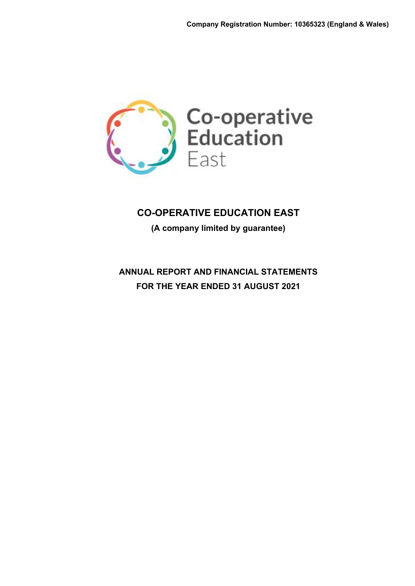

**(A company limited by guarantee)**

**ANNUAL REPORT AND FINANCIAL STATEMENTS FOR THE YEAR ENDED 31 AUGUST 2021**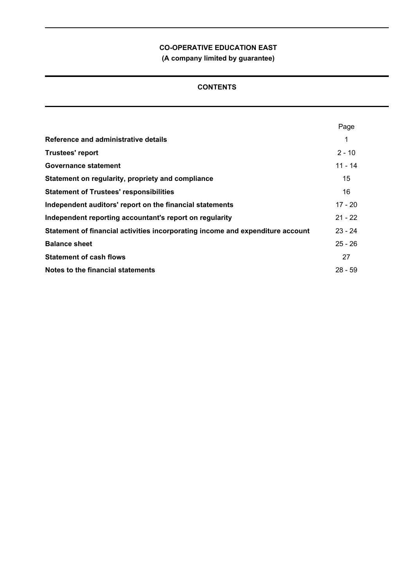**(A company limited by guarantee)**

# **CONTENTS**

|                                                                                | Page      |
|--------------------------------------------------------------------------------|-----------|
| Reference and administrative details                                           | 1         |
| <b>Trustees' report</b>                                                        | $2 - 10$  |
| Governance statement                                                           | $11 - 14$ |
| Statement on regularity, propriety and compliance                              | 15        |
| <b>Statement of Trustees' responsibilities</b>                                 | 16        |
| Independent auditors' report on the financial statements                       | 17 - 20   |
| Independent reporting accountant's report on regularity                        | $21 - 22$ |
| Statement of financial activities incorporating income and expenditure account | $23 - 24$ |
| <b>Balance sheet</b>                                                           | $25 - 26$ |
| <b>Statement of cash flows</b>                                                 | 27        |
| Notes to the financial statements                                              | $28 - 59$ |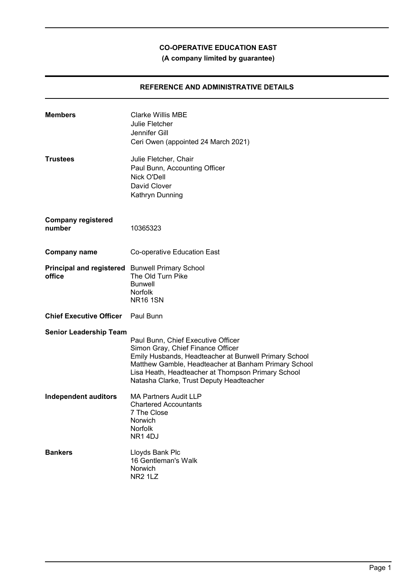# **(A company limited by guarantee)**

## **REFERENCE AND ADMINISTRATIVE DETAILS**

| <b>Members</b>                                            | <b>Clarke Willis MBE</b><br>Julie Fletcher<br>Jennifer Gill<br>Ceri Owen (appointed 24 March 2021)                                                                                                                                                                                         |
|-----------------------------------------------------------|--------------------------------------------------------------------------------------------------------------------------------------------------------------------------------------------------------------------------------------------------------------------------------------------|
| <b>Trustees</b>                                           | Julie Fletcher, Chair<br>Paul Bunn, Accounting Officer<br>Nick O'Dell<br>David Clover<br>Kathryn Dunning                                                                                                                                                                                   |
| <b>Company registered</b><br>number                       | 10365323                                                                                                                                                                                                                                                                                   |
| <b>Company name</b>                                       | Co-operative Education East                                                                                                                                                                                                                                                                |
| Principal and registered Bunwell Primary School<br>office | The Old Turn Pike<br><b>Bunwell</b><br><b>Norfolk</b><br><b>NR16 1SN</b>                                                                                                                                                                                                                   |
| <b>Chief Executive Officer</b>                            | Paul Bunn                                                                                                                                                                                                                                                                                  |
| <b>Senior Leadership Team</b>                             | Paul Bunn, Chief Executive Officer<br>Simon Gray, Chief Finance Officer<br>Emily Husbands, Headteacher at Bunwell Primary School<br>Matthew Gamble, Headteacher at Banham Primary School<br>Lisa Heath, Headteacher at Thompson Primary School<br>Natasha Clarke, Trust Deputy Headteacher |
| <b>Independent auditors</b>                               | <b>MA Partners Audit LLP</b><br><b>Chartered Accountants</b><br>7 The Close<br>Norwich<br>Norfolk<br>NR14DJ                                                                                                                                                                                |
| <b>Bankers</b>                                            | Lloyds Bank Plc<br>16 Gentleman's Walk<br>Norwich<br>NR <sub>2</sub> 1L <sub>Z</sub>                                                                                                                                                                                                       |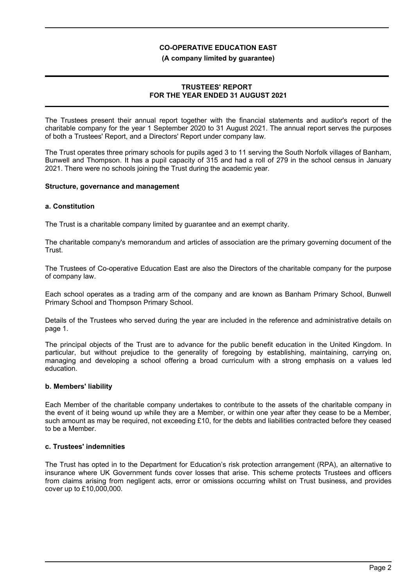### **(A company limited by guarantee)**

### **TRUSTEES' REPORT FOR THE YEAR ENDED 31 AUGUST 2021**

The Trustees present their annual report together with the financial statements and auditor's report of the charitable company for the year 1 September 2020 to 31 August 2021. The annual report serves the purposes of both a Trustees' Report, and a Directors' Report under company law.

The Trust operates three primary schools for pupils aged 3 to 11 serving the South Norfolk villages of Banham, Bunwell and Thompson. It has a pupil capacity of 315 and had a roll of 279 in the school census in January 2021. There were no schools joining the Trust during the academic year.

### **Structure, governance and management**

### **a. Constitution**

The Trust is a charitable company limited by guarantee and an exempt charity.

The charitable company's memorandum and articles of association are the primary governing document of the Trust.

The Trustees of Co-operative Education East are also the Directors of the charitable company for the purpose of company law.

Each school operates as a trading arm of the company and are known as Banham Primary School, Bunwell Primary School and Thompson Primary School.

Details of the Trustees who served during the year are included in the reference and administrative details on page 1.

The principal objects of the Trust are to advance for the public benefit education in the United Kingdom. In particular, but without prejudice to the generality of foregoing by establishing, maintaining, carrying on, managing and developing a school offering a broad curriculum with a strong emphasis on a values led education.

### **b. Members' liability**

Each Member of the charitable company undertakes to contribute to the assets of the charitable company in the event of it being wound up while they are a Member, or within one year after they cease to be a Member, such amount as may be required, not exceeding £10, for the debts and liabilities contracted before they ceased to be a Member.

### **c. Trustees' indemnities**

The Trust has opted in to the Department for Education's risk protection arrangement (RPA), an alternative to insurance where UK Government funds cover losses that arise. This scheme protects Trustees and officers from claims arising from negligent acts, error or omissions occurring whilst on Trust business, and provides cover up to £10,000,000.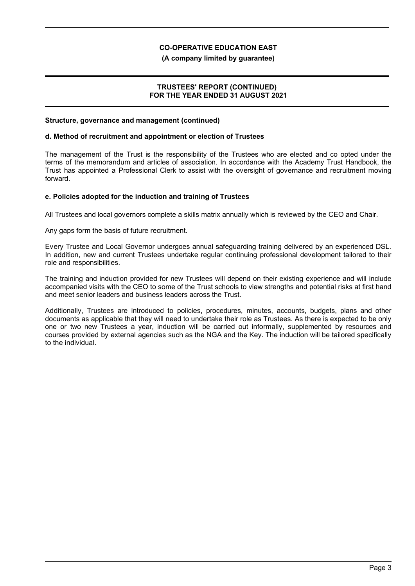### **(A company limited by guarantee)**

### **TRUSTEES' REPORT (CONTINUED) FOR THE YEAR ENDED 31 AUGUST 2021**

### **Structure, governance and management (continued)**

### **d. Method of recruitment and appointment or election of Trustees**

The management of the Trust is the responsibility of the Trustees who are elected and co opted under the terms of the memorandum and articles of association. In accordance with the Academy Trust Handbook, the Trust has appointed a Professional Clerk to assist with the oversight of governance and recruitment moving forward.

### **e. Policies adopted for the induction and training of Trustees**

All Trustees and local governors complete a skills matrix annually which is reviewed by the CEO and Chair.

Any gaps form the basis of future recruitment.

Every Trustee and Local Governor undergoes annual safeguarding training delivered by an experienced DSL. In addition, new and current Trustees undertake regular continuing professional development tailored to their role and responsibilities.

The training and induction provided for new Trustees will depend on their existing experience and will include accompanied visits with the CEO to some of the Trust schools to view strengths and potential risks at first hand and meet senior leaders and business leaders across the Trust.

Additionally, Trustees are introduced to policies, procedures, minutes, accounts, budgets, plans and other documents as applicable that they will need to undertake their role as Trustees. As there is expected to be only one or two new Trustees a year, induction will be carried out informally, supplemented by resources and courses provided by external agencies such as the NGA and the Key. The induction will be tailored specifically to the individual.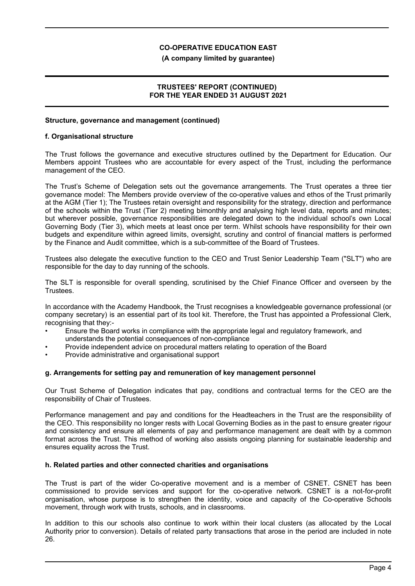### **(A company limited by guarantee)**

### **TRUSTEES' REPORT (CONTINUED) FOR THE YEAR ENDED 31 AUGUST 2021**

### **Structure, governance and management (continued)**

### **f. Organisational structure**

The Trust follows the governance and executive structures outlined by the Department for Education. Our Members appoint Trustees who are accountable for every aspect of the Trust, including the performance management of the CEO.

The Trust's Scheme of Delegation sets out the governance arrangements. The Trust operates a three tier governance model: The Members provide overview of the co-operative values and ethos of the Trust primarily at the AGM (Tier 1); The Trustees retain oversight and responsibility for the strategy, direction and performance of the schools within the Trust (Tier 2) meeting bimonthly and analysing high level data, reports and minutes; but wherever possible, governance responsibilities are delegated down to the individual school's own Local Governing Body (Tier 3), which meets at least once per term. Whilst schools have responsibility for their own budgets and expenditure within agreed limits, oversight, scrutiny and control of financial matters is performed by the Finance and Audit committee, which is a sub-committee of the Board of Trustees.

Trustees also delegate the executive function to the CEO and Trust Senior Leadership Team ("SLT") who are responsible for the day to day running of the schools.

The SLT is responsible for overall spending, scrutinised by the Chief Finance Officer and overseen by the Trustees.

In accordance with the Academy Handbook, the Trust recognises a knowledgeable governance professional (or company secretary) is an essential part of its tool kit. Therefore, the Trust has appointed a Professional Clerk, recognising that they:-

- Ensure the Board works in compliance with the appropriate legal and regulatory framework, and understands the potential consequences of non-compliance
- Provide independent advice on procedural matters relating to operation of the Board
- Provide administrative and organisational support

### **g. Arrangements for setting pay and remuneration of key management personnel**

Our Trust Scheme of Delegation indicates that pay, conditions and contractual terms for the CEO are the responsibility of Chair of Trustees.

Performance management and pay and conditions for the Headteachers in the Trust are the responsibility of the CEO. This responsibility no longer rests with Local Governing Bodies as in the past to ensure greater rigour and consistency and ensure all elements of pay and performance management are dealt with by a common format across the Trust. This method of working also assists ongoing planning for sustainable leadership and ensures equality across the Trust.

#### **h. Related parties and other connected charities and organisations**

The Trust is part of the wider Co-operative movement and is a member of CSNET. CSNET has been commissioned to provide services and support for the co-operative network. CSNET is a not-for-profit organisation, whose purpose is to strengthen the identity, voice and capacity of the Co-operative Schools movement, through work with trusts, schools, and in classrooms.

In addition to this our schools also continue to work within their local clusters (as allocated by the Local Authority prior to conversion). Details of related party transactions that arose in the period are included in note 26.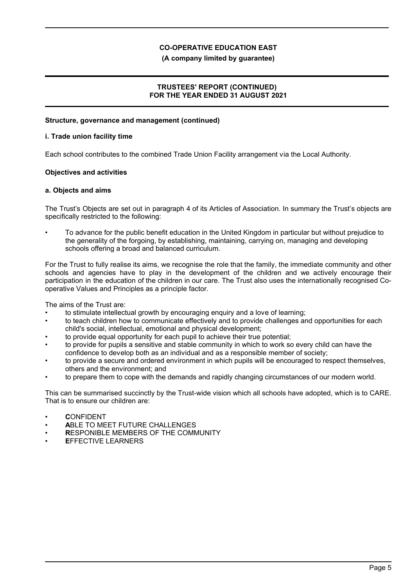### **(A company limited by guarantee)**

### **TRUSTEES' REPORT (CONTINUED) FOR THE YEAR ENDED 31 AUGUST 2021**

### **Structure, governance and management (continued)**

### **i. Trade union facility time**

Each school contributes to the combined Trade Union Facility arrangement via the Local Authority.

### **Objectives and activities**

### **a. Objects and aims**

The Trust's Objects are set out in paragraph 4 of its Articles of Association. In summary the Trust's objects are specifically restricted to the following:

• To advance for the public benefit education in the United Kingdom in particular but without prejudice to the generality of the forgoing, by establishing, maintaining, carrying on, managing and developing schools offering a broad and balanced curriculum.

For the Trust to fully realise its aims, we recognise the role that the family, the immediate community and other schools and agencies have to play in the development of the children and we actively encourage their participation in the education of the children in our care. The Trust also uses the internationally recognised Cooperative Values and Principles as a principle factor.

The aims of the Trust are:

- to stimulate intellectual growth by encouraging enquiry and a love of learning;
- to teach children how to communicate effectively and to provide challenges and opportunities for each child's social, intellectual, emotional and physical development;
- to provide equal opportunity for each pupil to achieve their true potential;
- to provide for pupils a sensitive and stable community in which to work so every child can have the confidence to develop both as an individual and as a responsible member of society;
- to provide a secure and ordered environment in which pupils will be encouraged to respect themselves, others and the environment; and
- to prepare them to cope with the demands and rapidly changing circumstances of our modern world.

This can be summarised succinctly by the Trust-wide vision which all schools have adopted, which is to CARE. That is to ensure our children are:

- **C**ONFIDENT
- **A**BLE TO MEET FUTURE CHALLENGES
- **R**ESPONIBLE MEMBERS OF THE COMMUNITY
- **E**FFECTIVE LEARNERS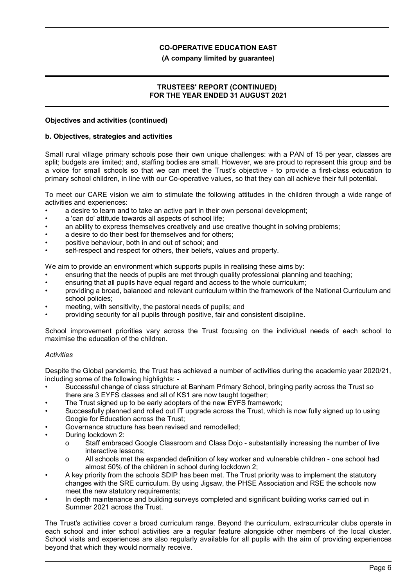### **(A company limited by guarantee)**

### **TRUSTEES' REPORT (CONTINUED) FOR THE YEAR ENDED 31 AUGUST 2021**

### **Objectives and activities (continued)**

### **b. Objectives, strategies and activities**

Small rural village primary schools pose their own unique challenges: with a PAN of 15 per year, classes are split; budgets are limited; and, staffing bodies are small. However, we are proud to represent this group and be a voice for small schools so that we can meet the Trust's objective - to provide a first-class education to primary school children, in line with our Co-operative values, so that they can all achieve their full potential.

To meet our CARE vision we aim to stimulate the following attitudes in the children through a wide range of activities and experiences:

- a desire to learn and to take an active part in their own personal development;
- a 'can do' attitude towards all aspects of school life;
- an ability to express themselves creatively and use creative thought in solving problems;
- a desire to do their best for themselves and for others:
- positive behaviour, both in and out of school; and
- self-respect and respect for others, their beliefs, values and property.

We aim to provide an environment which supports pupils in realising these aims by:

- ensuring that the needs of pupils are met through quality professional planning and teaching;
- ensuring that all pupils have equal regard and access to the whole curriculum;
- providing a broad, balanced and relevant curriculum within the framework of the National Curriculum and school policies;
- meeting, with sensitivity, the pastoral needs of pupils; and
- providing security for all pupils through positive, fair and consistent discipline.

School improvement priorities vary across the Trust focusing on the individual needs of each school to maximise the education of the children.

### *Activities*

Despite the Global pandemic, the Trust has achieved a number of activities during the academic year 2020/21, including some of the following highlights: -

- Successful change of class structure at Banham Primary School, bringing parity across the Trust so there are 3 EYFS classes and all of KS1 are now taught together;
- The Trust signed up to be early adopters of the new EYFS framework;
- Successfully planned and rolled out IT upgrade across the Trust, which is now fully signed up to using Google for Education across the Trust;
- Governance structure has been revised and remodelled;
- During lockdown 2:
	- o Staff embraced Google Classroom and Class Dojo substantially increasing the number of live interactive lessons;
	- o All schools met the expanded definition of key worker and vulnerable children one school had almost 50% of the children in school during lockdown 2;
- A key priority from the schools SDIP has been met. The Trust priority was to implement the statutory changes with the SRE curriculum. By using Jigsaw, the PHSE Association and RSE the schools now meet the new statutory requirements;
- In depth maintenance and building surveys completed and significant building works carried out in Summer 2021 across the Trust.

The Trust's activities cover a broad curriculum range. Beyond the curriculum, extracurricular clubs operate in each school and inter school activities are a regular feature alongside other members of the local cluster. School visits and experiences are also regularly available for all pupils with the aim of providing experiences beyond that which they would normally receive.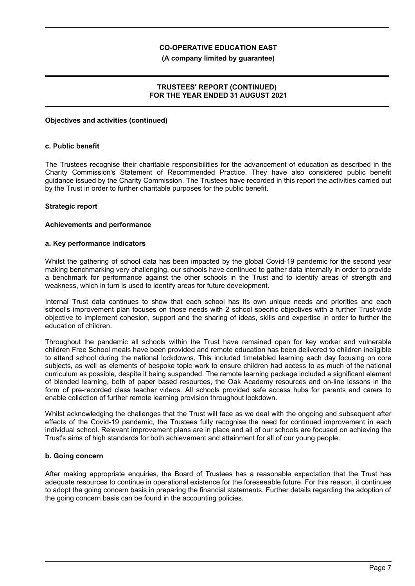### **(A company limited by guarantee)**

### **TRUSTEES' REPORT (CONTINUED) FOR THE YEAR ENDED 31 AUGUST 2021**

### **Objectives and activities (continued)**

### **c. Public benefit**

The Trustees recognise their charitable responsibilities for the advancement of education as described in the Charity Commission's Statement of Recommended Practice. They have also considered public benefit guidance issued by the Charity Commission. The Trustees have recorded in this report the activities carried out by the Trust in order to further charitable purposes for the public benefit.

### **Strategic report**

#### **Achievements and performance**

### **a. Key performance indicators**

Whilst the gathering of school data has been impacted by the global Covid-19 pandemic for the second year making benchmarking very challenging, our schools have continued to gather data internally in order to provide a benchmark for performance against the other schools in the Trust and to identify areas of strength and weakness, which in turn is used to identify areas for future development.

Internal Trust data continues to show that each school has its own unique needs and priorities and each school's improvement plan focuses on those needs with 2 school specific objectives with a further Trust-wide objective to implement cohesion, support and the sharing of ideas, skills and expertise in order to further the education of children.

Throughout the pandemic all schools within the Trust have remained open for key worker and vulnerable children Free School meals have been provided and remote education has been delivered to children ineligible to attend school during the national lockdowns. This included timetabled learning each day focusing on core subjects, as well as elements of bespoke topic work to ensure children had access to as much of the national curriculum as possible, despite it being suspended. The remote learning package included a significant element of blended learning, both of paper based resources, the Oak Academy resources and on-line lessons in the form of pre-recorded class teacher videos. All schools provided safe access hubs for parents and carers to enable collection of further remote learning provision throughout lockdown.

Whilst acknowledging the challenges that the Trust will face as we deal with the ongoing and subsequent after effects of the Covid-19 pandemic, the Trustees fully recognise the need for continued improvement in each individual school. Relevant improvement plans are in place and all of our schools are focused on achieving the Trust's aims of high standards for both achievement and attainment for all of our young people.

### **b. Going concern**

After making appropriate enquiries, the Board of Trustees has a reasonable expectation that the Trust has adequate resources to continue in operational existence for the foreseeable future. For this reason, it continues to adopt the going concern basis in preparing the financial statements. Further details regarding the adoption of the going concern basis can be found in the accounting policies.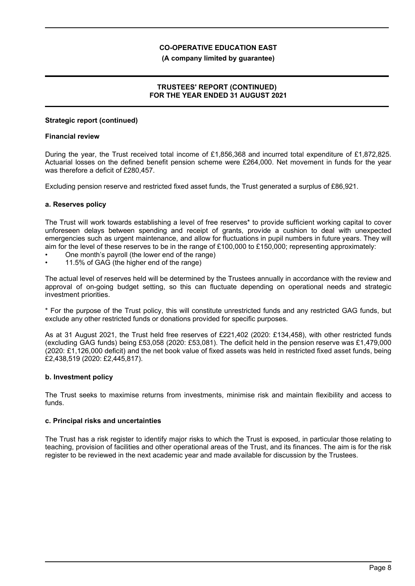### **(A company limited by guarantee)**

### **TRUSTEES' REPORT (CONTINUED) FOR THE YEAR ENDED 31 AUGUST 2021**

### **Strategic report (continued)**

### **Financial review**

During the year, the Trust received total income of £1,856,368 and incurred total expenditure of £1,872,825. Actuarial losses on the defined benefit pension scheme were £264,000. Net movement in funds for the year was therefore a deficit of £280,457.

Excluding pension reserve and restricted fixed asset funds, the Trust generated a surplus of £86,921.

### **a. Reserves policy**

The Trust will work towards establishing a level of free reserves\* to provide sufficient working capital to cover unforeseen delays between spending and receipt of grants, provide a cushion to deal with unexpected emergencies such as urgent maintenance, and allow for fluctuations in pupil numbers in future years. They will aim for the level of these reserves to be in the range of £100,000 to £150,000; representing approximately:

- One month's payroll (the lower end of the range)
- 11.5% of GAG (the higher end of the range)

The actual level of reserves held will be determined by the Trustees annually in accordance with the review and approval of on-going budget setting, so this can fluctuate depending on operational needs and strategic investment priorities.

\* For the purpose of the Trust policy, this will constitute unrestricted funds and any restricted GAG funds, but exclude any other restricted funds or donations provided for specific purposes.

As at 31 August 2021, the Trust held free reserves of £221,402 (2020: £134,458), with other restricted funds (excluding GAG funds) being £53,058 (2020: £53,081). The deficit held in the pension reserve was £1,479,000 (2020: £1,126,000 deficit) and the net book value of fixed assets was held in restricted fixed asset funds, being £2,438,519 (2020: £2,445,817).

### **b. Investment policy**

The Trust seeks to maximise returns from investments, minimise risk and maintain flexibility and access to funds.

#### **c. Principal risks and uncertainties**

The Trust has a risk register to identify major risks to which the Trust is exposed, in particular those relating to teaching, provision of facilities and other operational areas of the Trust, and its finances. The aim is for the risk register to be reviewed in the next academic year and made available for discussion by the Trustees.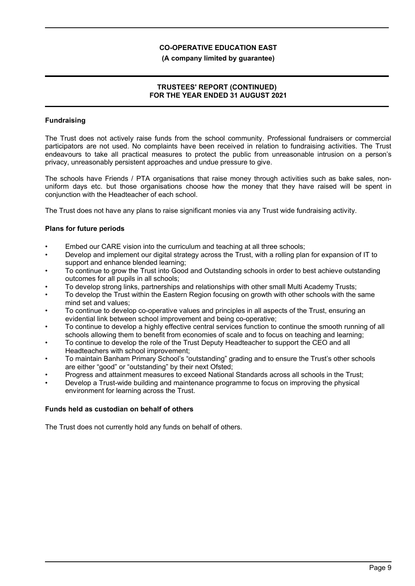### **(A company limited by guarantee)**

### **TRUSTEES' REPORT (CONTINUED) FOR THE YEAR ENDED 31 AUGUST 2021**

### **Fundraising**

The Trust does not actively raise funds from the school community. Professional fundraisers or commercial participators are not used. No complaints have been received in relation to fundraising activities. The Trust endeavours to take all practical measures to protect the public from unreasonable intrusion on a person's privacy, unreasonably persistent approaches and undue pressure to give.

The schools have Friends / PTA organisations that raise money through activities such as bake sales, nonuniform days etc. but those organisations choose how the money that they have raised will be spent in conjunction with the Headteacher of each school.

The Trust does not have any plans to raise significant monies via any Trust wide fundraising activity.

### **Plans for future periods**

- Embed our CARE vision into the curriculum and teaching at all three schools;
- Develop and implement our digital strategy across the Trust, with a rolling plan for expansion of IT to support and enhance blended learning;
- To continue to grow the Trust into Good and Outstanding schools in order to best achieve outstanding outcomes for all pupils in all schools;
- To develop strong links, partnerships and relationships with other small Multi Academy Trusts;
- To develop the Trust within the Eastern Region focusing on growth with other schools with the same mind set and values;
- To continue to develop co-operative values and principles in all aspects of the Trust, ensuring an evidential link between school improvement and being co-operative;
- To continue to develop a highly effective central services function to continue the smooth running of all schools allowing them to benefit from economies of scale and to focus on teaching and learning;
- To continue to develop the role of the Trust Deputy Headteacher to support the CEO and all Headteachers with school improvement;
- To maintain Banham Primary School's "outstanding" grading and to ensure the Trust's other schools are either "good" or "outstanding" by their next Ofsted;
- Progress and attainment measures to exceed National Standards across all schools in the Trust;
- Develop a Trust-wide building and maintenance programme to focus on improving the physical environment for learning across the Trust.

### **Funds held as custodian on behalf of others**

The Trust does not currently hold any funds on behalf of others.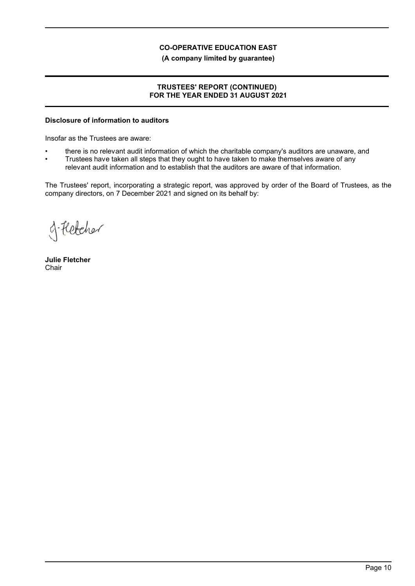**(A company limited by guarantee)**

## **TRUSTEES' REPORT (CONTINUED) FOR THE YEAR ENDED 31 AUGUST 2021**

## **Disclosure of information to auditors**

Insofar as the Trustees are aware:

- there is no relevant audit information of which the charitable company's auditors are unaware, and
- Trustees have taken all steps that they ought to have taken to make themselves aware of any relevant audit information and to establish that the auditors are aware of that information.

The Trustees' report, incorporating a strategic report, was approved by order of the Board of Trustees, as the company directors, on 7 December 2021 and signed on its behalf by:

of Fletcher

**Julie Fletcher Chair**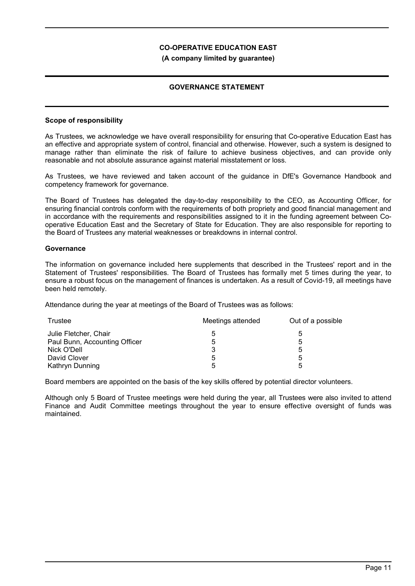### **(A company limited by guarantee)**

### **GOVERNANCE STATEMENT**

### **Scope of responsibility**

As Trustees, we acknowledge we have overall responsibility for ensuring that Co-operative Education East has an effective and appropriate system of control, financial and otherwise. However, such a system is designed to manage rather than eliminate the risk of failure to achieve business objectives, and can provide only reasonable and not absolute assurance against material misstatement or loss.

As Trustees, we have reviewed and taken account of the guidance in DfE's Governance Handbook and competency framework for governance.

The Board of Trustees has delegated the day-to-day responsibility to the CEO, as Accounting Officer, for ensuring financial controls conform with the requirements of both propriety and good financial management and in accordance with the requirements and responsibilities assigned to it in the funding agreement between Cooperative Education East and the Secretary of State for Education. They are also responsible for reporting to the Board of Trustees any material weaknesses or breakdowns in internal control.

### **Governance**

The information on governance included here supplements that described in the Trustees' report and in the Statement of Trustees' responsibilities. The Board of Trustees has formally met 5 times during the year, to ensure a robust focus on the management of finances is undertaken. As a result of Covid-19, all meetings have been held remotely.

Attendance during the year at meetings of the Board of Trustees was as follows:

| Trustee                       | Meetings attended | Out of a possible |
|-------------------------------|-------------------|-------------------|
| Julie Fletcher, Chair         | 5                 | ხ                 |
| Paul Bunn, Accounting Officer | 5                 | 5                 |
| Nick O'Dell                   |                   | 5                 |
| David Clover                  | 5                 | 5                 |
| Kathryn Dunning               | 5                 | 5                 |

Board members are appointed on the basis of the key skills offered by potential director volunteers.

Although only 5 Board of Trustee meetings were held during the year, all Trustees were also invited to attend Finance and Audit Committee meetings throughout the year to ensure effective oversight of funds was maintained.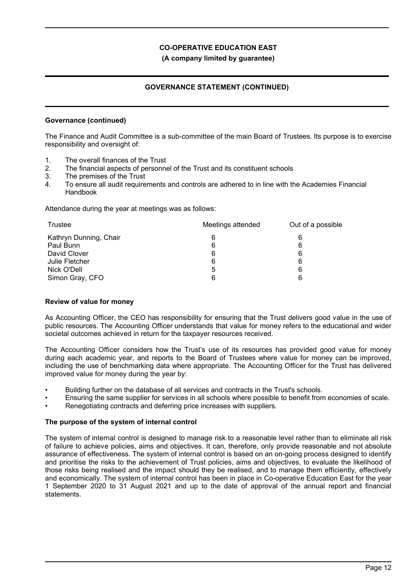**(A company limited by guarantee)**

### **GOVERNANCE STATEMENT (CONTINUED)**

### **Governance (continued)**

The Finance and Audit Committee is a sub-committee of the main Board of Trustees. Its purpose is to exercise responsibility and oversight of:

- 1. The overall finances of the Trust
- 2. The financial aspects of personnel of the Trust and its constituent schools
- 3. The premises of the Trust
- 4. To ensure all audit requirements and controls are adhered to in line with the Academies Financial Handbook

Attendance during the year at meetings was as follows:

| Trustee                | Meetings attended | Out of a possible |
|------------------------|-------------------|-------------------|
| Kathryn Dunning, Chair | 6                 | 6                 |
| Paul Bunn              | 6                 | 6                 |
| David Clover           | 6                 | 6                 |
| Julie Fletcher         | 6                 | 6                 |
| Nick O'Dell            | 5                 | 6                 |
| Simon Gray, CFO        | 6                 | 6                 |

#### **Review of value for money**

As Accounting Officer, the CEO has responsibility for ensuring that the Trust delivers good value in the use of public resources. The Accounting Officer understands that value for money refers to the educational and wider societal outcomes achieved in return for the taxpayer resources received.

The Accounting Officer considers how the Trust's use of its resources has provided good value for money during each academic year, and reports to the Board of Trustees where value for money can be improved, including the use of benchmarking data where appropriate. The Accounting Officer for the Trust has delivered improved value for money during the year by:

- Building further on the database of all services and contracts in the Trust's schools.
- Ensuring the same supplier for services in all schools where possible to benefit from economies of scale.
- Renegotiating contracts and deferring price increases with suppliers.

### **The purpose of the system of internal control**

The system of internal control is designed to manage risk to a reasonable level rather than to eliminate all risk of failure to achieve policies, aims and objectives. It can, therefore, only provide reasonable and not absolute assurance of effectiveness. The system of internal control is based on an on-going process designed to identify and prioritise the risks to the achievement of Trust policies, aims and objectives, to evaluate the likelihood of those risks being realised and the impact should they be realised, and to manage them efficiently, effectively and economically. The system of internal control has been in place in Co-operative Education East for the year 1 September 2020 to 31 August 2021 and up to the date of approval of the annual report and financial statements.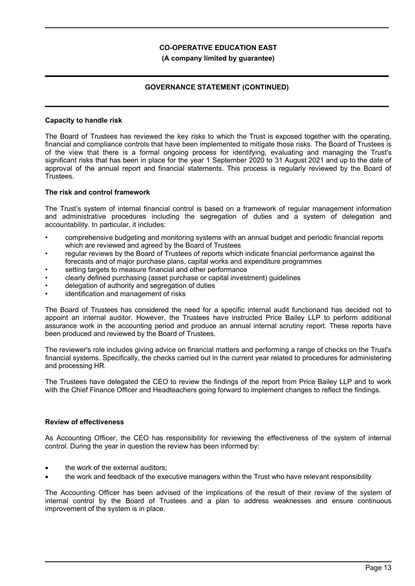### **(A company limited by guarantee)**

### **GOVERNANCE STATEMENT (CONTINUED)**

### **Capacity to handle risk**

The Board of Trustees has reviewed the key risks to which the Trust is exposed together with the operating, financial and compliance controls that have been implemented to mitigate those risks. The Board of Trustees is of the view that there is a formal ongoing process for identifying, evaluating and managing the Trust's significant risks that has been in place for the year 1 September 2020 to 31 August 2021 and up to the date of approval of the annual report and financial statements. This process is regularly reviewed by the Board of Trustees.

### **The risk and control framework**

The Trust's system of internal financial control is based on a framework of regular management information and administrative procedures including the segregation of duties and a system of delegation and accountability. In particular, it includes:

- comprehensive budgeting and monitoring systems with an annual budget and periodic financial reports which are reviewed and agreed by the Board of Trustees
- regular reviews by the Board of Trustees of reports which indicate financial performance against the forecasts and of major purchase plans, capital works and expenditure programmes
- setting targets to measure financial and other performance
- clearly defined purchasing (asset purchase or capital investment) guidelines
- delegation of authority and segregation of duties
- identification and management of risks

The Board of Trustees has considered the need for a specific internal audit functionand has decided not to appoint an internal auditor. However, the Trustees have instructed Price Bailey LLP to perform additional assurance work in the accounting period and produce an annual internal scrutiny report. These reports have been produced and reviewed by the Board of Trustees.

The reviewer's role includes giving advice on financial matters and performing a range of checks on the Trust's financial systems. Specifically, the checks carried out in the current year related to procedures for administering and processing HR.

The Trustees have delegated the CEO to review the findings of the report from Price Bailey LLP and to work with the Chief Finance Officer and Headteachers going forward to implement changes to reflect the findings.

#### **Review of effectiveness**

As Accounting Officer, the CEO has responsibility for reviewing the effectiveness of the system of internal control. During the year in question the review has been informed by:

- the work of the external auditors;
- the work and feedback of the executive managers within the Trust who have relevant responsibility

The Accounting Officer has been advised of the implications of the result of their review of the system of internal control by the Board of Trustees and a plan to address weaknesses and ensure continuous improvement of the system is in place.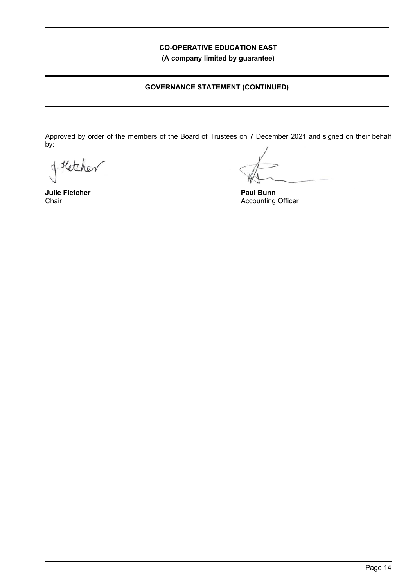**(A company limited by guarantee)**

## **GOVERNANCE STATEMENT (CONTINUED)**

Approved by order of the members of the Board of Trustees on 7 December 2021 and signed on their behalf by:

J. Hetcher

**Julie Fletcher** Chair

**Paul Bunn** Accounting Officer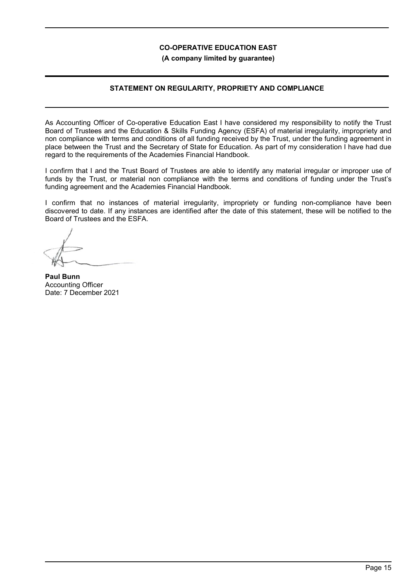**(A company limited by guarantee)**

### **STATEMENT ON REGULARITY, PROPRIETY AND COMPLIANCE**

As Accounting Officer of Co-operative Education East I have considered my responsibility to notify the Trust Board of Trustees and the Education & Skills Funding Agency (ESFA) of material irregularity, impropriety and non compliance with terms and conditions of all funding received by the Trust, under the funding agreement in place between the Trust and the Secretary of State for Education. As part of my consideration I have had due regard to the requirements of the Academies Financial Handbook.

I confirm that I and the Trust Board of Trustees are able to identify any material irregular or improper use of funds by the Trust, or material non compliance with the terms and conditions of funding under the Trust's funding agreement and the Academies Financial Handbook.

I confirm that no instances of material irregularity, impropriety or funding non-compliance have been discovered to date. If any instances are identified after the date of this statement, these will be notified to the Board of Trustees and the ESFA.

**Paul Bunn** Accounting Officer Date: 7 December 2021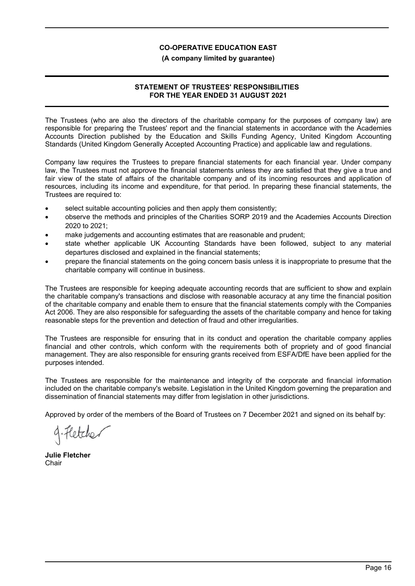### **(A company limited by guarantee)**

## **STATEMENT OF TRUSTEES' RESPONSIBILITIES FOR THE YEAR ENDED 31 AUGUST 2021**

The Trustees (who are also the directors of the charitable company for the purposes of company law) are responsible for preparing the Trustees' report and the financial statements in accordance with the Academies Accounts Direction published by the Education and Skills Funding Agency, United Kingdom Accounting Standards (United Kingdom Generally Accepted Accounting Practice) and applicable law and regulations.

Company law requires the Trustees to prepare financial statements for each financial year. Under company law, the Trustees must not approve the financial statements unless they are satisfied that they give a true and fair view of the state of affairs of the charitable company and of its incoming resources and application of resources, including its income and expenditure, for that period. In preparing these financial statements, the Trustees are required to:

- select suitable accounting policies and then apply them consistently;
- observe the methods and principles of the Charities SORP 2019 and the Academies Accounts Direction 2020 to 2021;
- make judgements and accounting estimates that are reasonable and prudent;
- state whether applicable UK Accounting Standards have been followed, subject to any material departures disclosed and explained in the financial statements;
- prepare the financial statements on the going concern basis unless it is inappropriate to presume that the charitable company will continue in business.

The Trustees are responsible for keeping adequate accounting records that are sufficient to show and explain the charitable company's transactions and disclose with reasonable accuracy at any time the financial position of the charitable company and enable them to ensure that the financial statements comply with the Companies Act 2006. They are also responsible for safeguarding the assets of the charitable company and hence for taking reasonable steps for the prevention and detection of fraud and other irregularities.

The Trustees are responsible for ensuring that in its conduct and operation the charitable company applies financial and other controls, which conform with the requirements both of propriety and of good financial management. They are also responsible for ensuring grants received from ESFA/DfE have been applied for the purposes intended.

The Trustees are responsible for the maintenance and integrity of the corporate and financial information included on the charitable company's website. Legislation in the United Kingdom governing the preparation and dissemination of financial statements may differ from legislation in other jurisdictions.

Approved by order of the members of the Board of Trustees on 7 December 2021 and signed on its behalf by:

gifletcher

**Julie Fletcher** Chair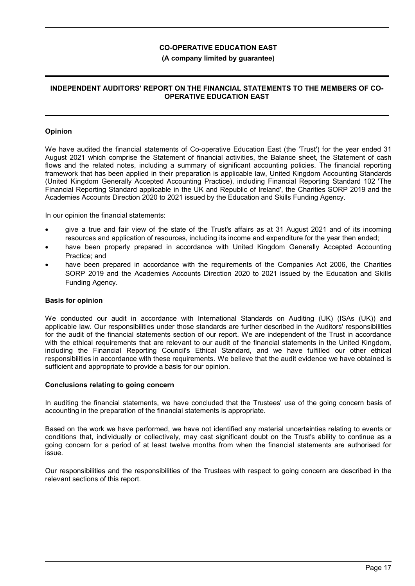### **(A company limited by guarantee)**

### **INDEPENDENT AUDITORS' REPORT ON THE FINANCIAL STATEMENTS TO THE MEMBERS OF CO-OPERATIVE EDUCATION EAST**

### **Opinion**

We have audited the financial statements of Co-operative Education East (the 'Trust') for the year ended 31 August 2021 which comprise the Statement of financial activities, the Balance sheet, the Statement of cash flows and the related notes, including a summary of significant accounting policies. The financial reporting framework that has been applied in their preparation is applicable law, United Kingdom Accounting Standards (United Kingdom Generally Accepted Accounting Practice), including Financial Reporting Standard 102 'The Financial Reporting Standard applicable in the UK and Republic of Ireland', the Charities SORP 2019 and the Academies Accounts Direction 2020 to 2021 issued by the Education and Skills Funding Agency.

In our opinion the financial statements:

- give a true and fair view of the state of the Trust's affairs as at 31 August 2021 and of its incoming resources and application of resources, including its income and expenditure for the year then ended;
- have been properly prepared in accordance with United Kingdom Generally Accepted Accounting Practice; and
- have been prepared in accordance with the requirements of the Companies Act 2006, the Charities SORP 2019 and the Academies Accounts Direction 2020 to 2021 issued by the Education and Skills Funding Agency.

#### **Basis for opinion**

We conducted our audit in accordance with International Standards on Auditing (UK) (ISAs (UK)) and applicable law. Our responsibilities under those standards are further described in the Auditors' responsibilities for the audit of the financial statements section of our report. We are independent of the Trust in accordance with the ethical requirements that are relevant to our audit of the financial statements in the United Kingdom, including the Financial Reporting Council's Ethical Standard, and we have fulfilled our other ethical responsibilities in accordance with these requirements. We believe that the audit evidence we have obtained is sufficient and appropriate to provide a basis for our opinion.

#### **Conclusions relating to going concern**

In auditing the financial statements, we have concluded that the Trustees' use of the going concern basis of accounting in the preparation of the financial statements is appropriate.

Based on the work we have performed, we have not identified any material uncertainties relating to events or conditions that, individually or collectively, may cast significant doubt on the Trust's ability to continue as a going concern for a period of at least twelve months from when the financial statements are authorised for issue.

Our responsibilities and the responsibilities of the Trustees with respect to going concern are described in the relevant sections of this report.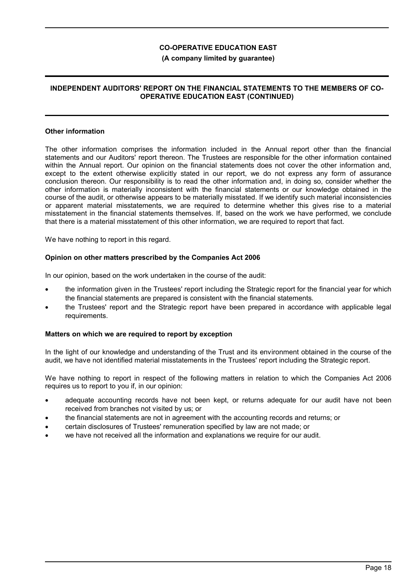### **(A company limited by guarantee)**

### **INDEPENDENT AUDITORS' REPORT ON THE FINANCIAL STATEMENTS TO THE MEMBERS OF CO-OPERATIVE EDUCATION EAST (CONTINUED)**

#### **Other information**

The other information comprises the information included in the Annual report other than the financial statements and our Auditors' report thereon. The Trustees are responsible for the other information contained within the Annual report. Our opinion on the financial statements does not cover the other information and, except to the extent otherwise explicitly stated in our report, we do not express any form of assurance conclusion thereon. Our responsibility is to read the other information and, in doing so, consider whether the other information is materially inconsistent with the financial statements or our knowledge obtained in the course of the audit, or otherwise appears to be materially misstated. If we identify such material inconsistencies or apparent material misstatements, we are required to determine whether this gives rise to a material misstatement in the financial statements themselves. If, based on the work we have performed, we conclude that there is a material misstatement of this other information, we are required to report that fact.

We have nothing to report in this regard.

### **Opinion on other matters prescribed by the Companies Act 2006**

In our opinion, based on the work undertaken in the course of the audit:

- the information given in the Trustees' report including the Strategic report for the financial year for which the financial statements are prepared is consistent with the financial statements.
- the Trustees' report and the Strategic report have been prepared in accordance with applicable legal requirements.

### **Matters on which we are required to report by exception**

In the light of our knowledge and understanding of the Trust and its environment obtained in the course of the audit, we have not identified material misstatements in the Trustees' report including the Strategic report.

We have nothing to report in respect of the following matters in relation to which the Companies Act 2006 requires us to report to you if, in our opinion:

- adequate accounting records have not been kept, or returns adequate for our audit have not been received from branches not visited by us; or
- the financial statements are not in agreement with the accounting records and returns; or
- certain disclosures of Trustees' remuneration specified by law are not made; or
- we have not received all the information and explanations we require for our audit.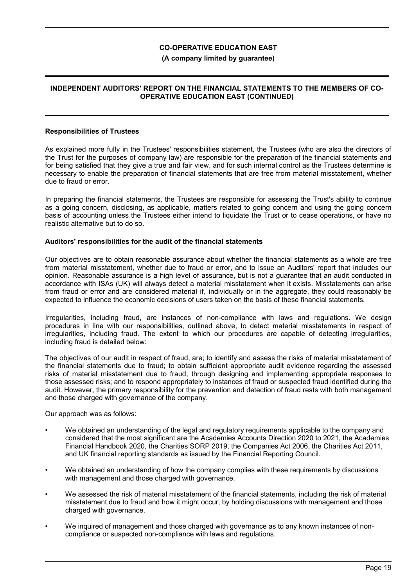### **(A company limited by guarantee)**

### **INDEPENDENT AUDITORS' REPORT ON THE FINANCIAL STATEMENTS TO THE MEMBERS OF CO-OPERATIVE EDUCATION EAST (CONTINUED)**

#### **Responsibilities of Trustees**

As explained more fully in the Trustees' responsibilities statement, the Trustees (who are also the directors of the Trust for the purposes of company law) are responsible for the preparation of the financial statements and for being satisfied that they give a true and fair view, and for such internal control as the Trustees determine is necessary to enable the preparation of financial statements that are free from material misstatement, whether due to fraud or error.

In preparing the financial statements, the Trustees are responsible for assessing the Trust's ability to continue as a going concern, disclosing, as applicable, matters related to going concern and using the going concern basis of accounting unless the Trustees either intend to liquidate the Trust or to cease operations, or have no realistic alternative but to do so.

### **Auditors' responsibilities for the audit of the financial statements**

Our objectives are to obtain reasonable assurance about whether the financial statements as a whole are free from material misstatement, whether due to fraud or error, and to issue an Auditors' report that includes our opinion. Reasonable assurance is a high level of assurance, but is not a guarantee that an audit conducted in accordance with ISAs (UK) will always detect a material misstatement when it exists. Misstatements can arise from fraud or error and are considered material if, individually or in the aggregate, they could reasonably be expected to influence the economic decisions of users taken on the basis of these financial statements.

Irregularities, including fraud, are instances of non-compliance with laws and regulations. We design procedures in line with our responsibilities, outlined above, to detect material misstatements in respect of irregularities, including fraud. The extent to which our procedures are capable of detecting irregularities, including fraud is detailed below:

The objectives of our audit in respect of fraud, are; to identify and assess the risks of material misstatement of the financial statements due to fraud; to obtain sufficient appropriate audit evidence regarding the assessed risks of material misstatement due to fraud, through designing and implementing appropriate responses to those assessed risks; and to respond appropriately to instances of fraud or suspected fraud identified during the audit. However, the primary responsibility for the prevention and detection of fraud rests with both management and those charged with governance of the company.

Our approach was as follows:

- We obtained an understanding of the legal and regulatory requirements applicable to the company and considered that the most significant are the Academies Accounts Direction 2020 to 2021, the Academies Financial Handbook 2020, the Charities SORP 2019, the Companies Act 2006, the Charities Act 2011, and UK financial reporting standards as issued by the Financial Reporting Council.
- We obtained an understanding of how the company complies with these requirements by discussions with management and those charged with governance.
- We assessed the risk of material misstatement of the financial statements, including the risk of material misstatement due to fraud and how it might occur, by holding discussions with management and those charged with governance.
- We inquired of management and those charged with governance as to any known instances of noncompliance or suspected non-compliance with laws and regulations.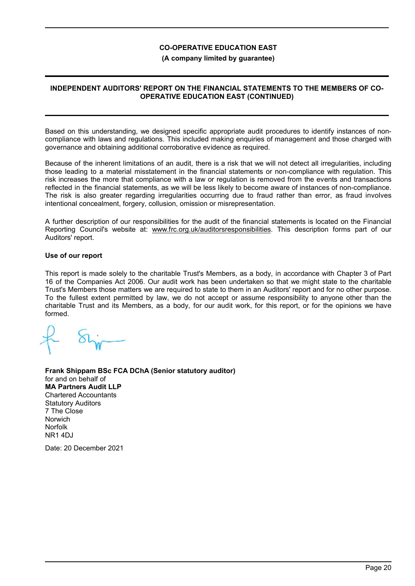### **(A company limited by guarantee)**

### **INDEPENDENT AUDITORS' REPORT ON THE FINANCIAL STATEMENTS TO THE MEMBERS OF CO-OPERATIVE EDUCATION EAST (CONTINUED)**

Based on this understanding, we designed specific appropriate audit procedures to identify instances of noncompliance with laws and regulations. This included making enquiries of management and those charged with governance and obtaining additional corroborative evidence as required.

Because of the inherent limitations of an audit, there is a risk that we will not detect all irregularities, including those leading to a material misstatement in the financial statements or non-compliance with regulation. This risk increases the more that compliance with a law or regulation is removed from the events and transactions reflected in the financial statements, as we will be less likely to become aware of instances of non-compliance. The risk is also greater regarding irregularities occurring due to fraud rather than error, as fraud involves intentional concealment, forgery, collusion, omission or misrepresentation.

A further description of our responsibilities for the audit of the financial statements is located on the Financial Reporting Council's website at: www.frc.org.uk/auditorsresponsibilities. This description forms part of our Auditors' report.

### **Use of our report**

This report is made solely to the charitable Trust's Members, as a body, in accordance with Chapter 3 of Part 16 of the Companies Act 2006. Our audit work has been undertaken so that we might state to the charitable Trust's Members those matters we are required to state to them in an Auditors' report and for no other purpose. To the fullest extent permitted by law, we do not accept or assume responsibility to anyone other than the charitable Trust and its Members, as a body, for our audit work, for this report, or for the opinions we have formed.

**Frank Shippam BSc FCA DChA (Senior statutory auditor)** for and on behalf of **MA Partners Audit LLP** Chartered Accountants Statutory Auditors 7 The Close Norwich Norfolk NR1 4DJ

Date: 20 December 2021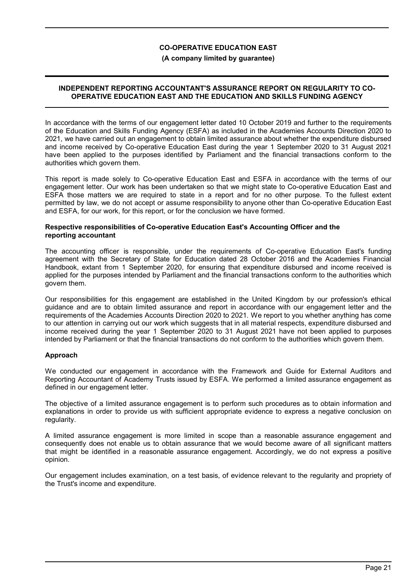### **(A company limited by guarantee)**

### **INDEPENDENT REPORTING ACCOUNTANT'S ASSURANCE REPORT ON REGULARITY TO CO-OPERATIVE EDUCATION EAST AND THE EDUCATION AND SKILLS FUNDING AGENCY**

In accordance with the terms of our engagement letter dated 10 October 2019 and further to the requirements of the Education and Skills Funding Agency (ESFA) as included in the Academies Accounts Direction 2020 to 2021, we have carried out an engagement to obtain limited assurance about whether the expenditure disbursed and income received by Co-operative Education East during the year 1 September 2020 to 31 August 2021 have been applied to the purposes identified by Parliament and the financial transactions conform to the authorities which govern them.

This report is made solely to Co-operative Education East and ESFA in accordance with the terms of our engagement letter. Our work has been undertaken so that we might state to Co-operative Education East and ESFA those matters we are required to state in a report and for no other purpose. To the fullest extent permitted by law, we do not accept or assume responsibility to anyone other than Co-operative Education East and ESFA, for our work, for this report, or for the conclusion we have formed.

#### **Respective responsibilities of Co-operative Education East's Accounting Officer and the reporting accountant**

The accounting officer is responsible, under the requirements of Co-operative Education East's funding agreement with the Secretary of State for Education dated 28 October 2016 and the Academies Financial Handbook, extant from 1 September 2020, for ensuring that expenditure disbursed and income received is applied for the purposes intended by Parliament and the financial transactions conform to the authorities which govern them.

Our responsibilities for this engagement are established in the United Kingdom by our profession's ethical guidance and are to obtain limited assurance and report in accordance with our engagement letter and the requirements of the Academies Accounts Direction 2020 to 2021. We report to you whether anything has come to our attention in carrying out our work which suggests that in all material respects, expenditure disbursed and income received during the year 1 September 2020 to 31 August 2021 have not been applied to purposes intended by Parliament or that the financial transactions do not conform to the authorities which govern them.

### **Approach**

We conducted our engagement in accordance with the Framework and Guide for External Auditors and Reporting Accountant of Academy Trusts issued by ESFA. We performed a limited assurance engagement as defined in our engagement letter.

The objective of a limited assurance engagement is to perform such procedures as to obtain information and explanations in order to provide us with sufficient appropriate evidence to express a negative conclusion on regularity.

A limited assurance engagement is more limited in scope than a reasonable assurance engagement and consequently does not enable us to obtain assurance that we would become aware of all significant matters that might be identified in a reasonable assurance engagement. Accordingly, we do not express a positive opinion.

Our engagement includes examination, on a test basis, of evidence relevant to the regularity and propriety of the Trust's income and expenditure.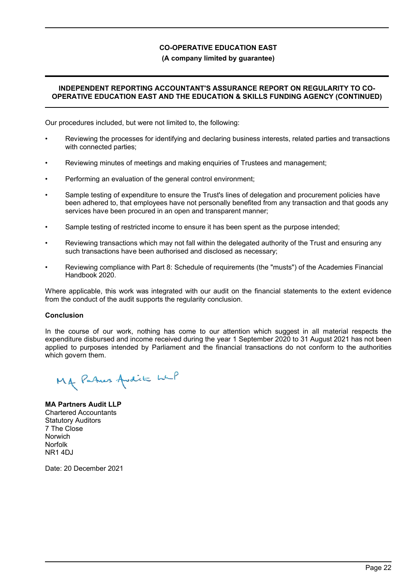### **(A company limited by guarantee)**

### **INDEPENDENT REPORTING ACCOUNTANT'S ASSURANCE REPORT ON REGULARITY TO CO-OPERATIVE EDUCATION EAST AND THE EDUCATION & SKILLS FUNDING AGENCY (CONTINUED)**

Our procedures included, but were not limited to, the following:

- Reviewing the processes for identifying and declaring business interests, related parties and transactions with connected parties;
- Reviewing minutes of meetings and making enquiries of Trustees and management;
- Performing an evaluation of the general control environment;
- Sample testing of expenditure to ensure the Trust's lines of delegation and procurement policies have been adhered to, that employees have not personally benefited from any transaction and that goods any services have been procured in an open and transparent manner;
- Sample testing of restricted income to ensure it has been spent as the purpose intended;
- Reviewing transactions which may not fall within the delegated authority of the Trust and ensuring any such transactions have been authorised and disclosed as necessary;
- Reviewing compliance with Part 8: Schedule of requirements (the "musts") of the Academies Financial Handbook 2020.

Where applicable, this work was integrated with our audit on the financial statements to the extent evidence from the conduct of the audit supports the regularity conclusion.

### **Conclusion**

In the course of our work, nothing has come to our attention which suggest in all material respects the expenditure disbursed and income received during the year 1 September 2020 to 31 August 2021 has not been applied to purposes intended by Parliament and the financial transactions do not conform to the authorities which govern them.

MA Patres Avdit with

**MA Partners Audit LLP** Chartered Accountants Statutory Auditors 7 The Close Norwich Norfolk NR1 4DJ

Date: 20 December 2021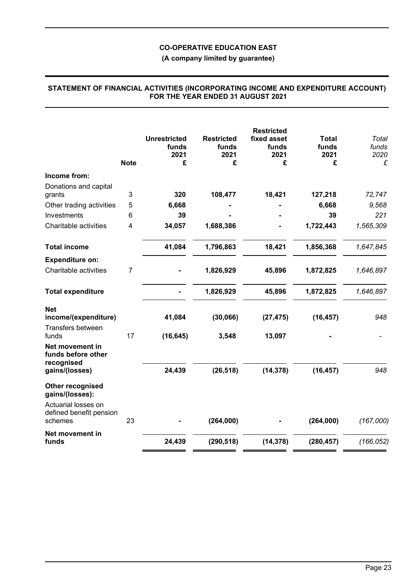**(A company limited by guarantee)**

|                                                              | <b>Note</b>    | <b>Unrestricted</b><br>funds<br>2021<br>£ | <b>Restricted</b><br>funds<br>2021<br>£ | <b>Restricted</b><br>fixed asset<br>funds<br>2021<br>£ | <b>Total</b><br>funds<br>2021<br>£ | <b>Total</b><br>funds<br>2020<br>£ |
|--------------------------------------------------------------|----------------|-------------------------------------------|-----------------------------------------|--------------------------------------------------------|------------------------------------|------------------------------------|
| Income from:                                                 |                |                                           |                                         |                                                        |                                    |                                    |
| Donations and capital                                        |                |                                           |                                         |                                                        |                                    |                                    |
| grants                                                       | 3              | 320                                       | 108,477                                 | 18,421                                                 | 127,218                            | 72,747                             |
| Other trading activities                                     | 5              | 6,668                                     |                                         |                                                        | 6,668                              | 9,568                              |
| Investments                                                  | 6              | 39                                        |                                         |                                                        | 39                                 | 221                                |
| Charitable activities                                        | 4              | 34,057                                    | 1,688,386                               |                                                        | 1,722,443                          | 1,565,309                          |
| <b>Total income</b>                                          |                | 41,084                                    | 1,796,863                               | 18,421                                                 | 1,856,368                          | 1,647,845                          |
| <b>Expenditure on:</b>                                       |                |                                           |                                         |                                                        |                                    |                                    |
| Charitable activities                                        | $\overline{7}$ |                                           | 1,826,929                               | 45,896                                                 | 1,872,825                          | 1,646,897                          |
| <b>Total expenditure</b>                                     |                |                                           | 1,826,929                               | 45,896                                                 | 1,872,825                          | 1,646,897                          |
| <b>Net</b><br>income/(expenditure)<br>Transfers between      |                | 41,084                                    | (30, 066)                               | (27, 475)                                              | (16, 457)                          | 948                                |
| funds<br>Net movement in<br>funds before other<br>recognised | 17             | (16, 645)<br>24,439                       | 3,548<br>(26, 518)                      | 13,097<br>(14, 378)                                    | (16, 457)                          | 948                                |
| gains/(losses)                                               |                |                                           |                                         |                                                        |                                    |                                    |
| Other recognised<br>gains/(losses):                          |                |                                           |                                         |                                                        |                                    |                                    |
| Actuarial losses on<br>defined benefit pension<br>schemes    | 23             |                                           | (264,000)                               |                                                        | (264,000)                          | (167,000)                          |
| Net movement in                                              |                |                                           |                                         |                                                        |                                    |                                    |
| funds                                                        |                | 24,439                                    | (290, 518)                              | (14, 378)                                              | (280, 457)                         | (166, 052)                         |

### **STATEMENT OF FINANCIAL ACTIVITIES (INCORPORATING INCOME AND EXPENDITURE ACCOUNT) FOR THE YEAR ENDED 31 AUGUST 2021**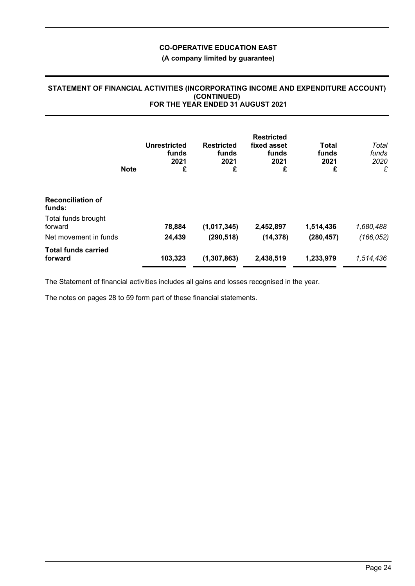## **(A company limited by guarantee)**

### **STATEMENT OF FINANCIAL ACTIVITIES (INCORPORATING INCOME AND EXPENDITURE ACCOUNT) (CONTINUED) FOR THE YEAR ENDED 31 AUGUST 2021**

|                                       | <b>Note</b> | Unrestricted<br>funds<br>2021<br>£ | <b>Restricted</b><br>funds<br>2021<br>£ | <b>Restricted</b><br>fixed asset<br>funds<br>2021<br>£ | <b>Total</b><br>funds<br>2021<br>£ | Total<br>funds<br>2020<br>£ |
|---------------------------------------|-------------|------------------------------------|-----------------------------------------|--------------------------------------------------------|------------------------------------|-----------------------------|
| <b>Reconciliation of</b><br>funds:    |             |                                    |                                         |                                                        |                                    |                             |
| Total funds brought<br>forward        |             | 78,884                             | (1,017,345)                             | 2,452,897                                              | 1,514,436                          | 1,680,488                   |
| Net movement in funds                 |             | 24,439                             | (290, 518)                              | (14, 378)                                              | (280, 457)                         | (166, 052)                  |
| <b>Total funds carried</b><br>forward |             | 103,323                            | (1, 307, 863)                           | 2,438,519                                              | 1,233,979                          | 1,514,436                   |

The Statement of financial activities includes all gains and losses recognised in the year.

The notes on pages 28 to 59 form part of these financial statements.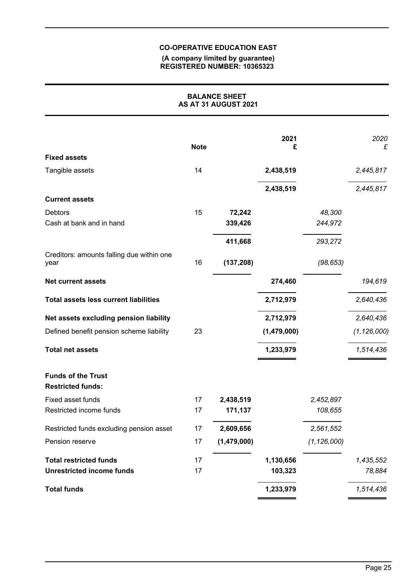#### **(A company limited by guarantee) REGISTERED NUMBER: 10365323**

| <b>BALANCE SHEET</b><br>AS AT 31 AUGUST 2021          |             |             |             |               |               |
|-------------------------------------------------------|-------------|-------------|-------------|---------------|---------------|
|                                                       | <b>Note</b> |             | 2021<br>£   |               | 2020<br>£     |
| <b>Fixed assets</b>                                   |             |             |             |               |               |
| Tangible assets                                       | 14          |             | 2,438,519   |               | 2,445,817     |
|                                                       |             |             | 2,438,519   |               | 2,445,817     |
| <b>Current assets</b>                                 |             |             |             |               |               |
| <b>Debtors</b>                                        | 15          | 72,242      |             | 48,300        |               |
| Cash at bank and in hand                              |             | 339,426     |             | 244,972       |               |
|                                                       |             | 411,668     |             | 293,272       |               |
| Creditors: amounts falling due within one<br>year     | 16          | (137, 208)  |             | (98, 653)     |               |
| <b>Net current assets</b>                             |             |             | 274,460     |               | 194,619       |
| <b>Total assets less current liabilities</b>          |             |             | 2,712,979   |               | 2,640,436     |
| Net assets excluding pension liability                |             |             | 2,712,979   |               | 2,640,436     |
| Defined benefit pension scheme liability              | 23          |             | (1,479,000) |               | (1, 126, 000) |
| <b>Total net assets</b>                               |             |             | 1,233,979   |               | 1,514,436     |
| <b>Funds of the Trust</b><br><b>Restricted funds:</b> |             |             |             |               |               |
| Fixed asset funds                                     | 17          | 2,438,519   |             | 2,452,897     |               |
| Restricted income funds                               | 17          | 171,137     |             | 108,655       |               |
| Restricted funds excluding pension asset              | 17          | 2,609,656   |             | 2,561,552     |               |
| Pension reserve                                       | 17          | (1,479,000) |             | (1, 126, 000) |               |
| <b>Total restricted funds</b>                         | 17          |             | 1,130,656   |               | 1,435,552     |
| <b>Unrestricted income funds</b>                      | 17          |             | 103,323     |               | 78,884        |
| <b>Total funds</b>                                    |             |             | 1,233,979   |               | 1,514,436     |
|                                                       |             |             |             |               |               |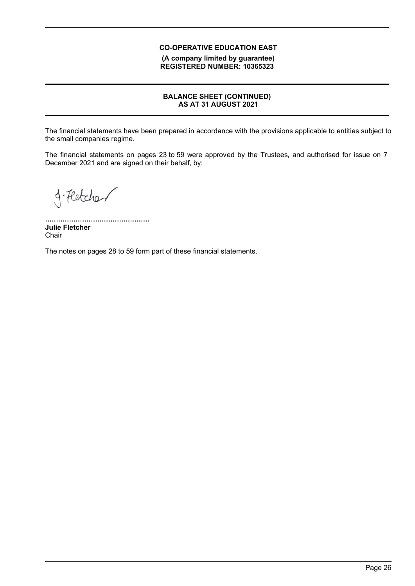**(A company limited by guarantee) REGISTERED NUMBER: 10365323**

## **BALANCE SHEET (CONTINUED) AS AT 31 AUGUST 2021**

The financial statements have been prepared in accordance with the provisions applicable to entities subject to the small companies regime.

The financial statements on pages 23 to 59 were approved by the Trustees, and authorised for issue on 7 December 2021 and are signed on their behalf, by:

g-Fletcher

................................................ **Julie Fletcher Chair** 

The notes on pages 28 to 59 form part of these financial statements.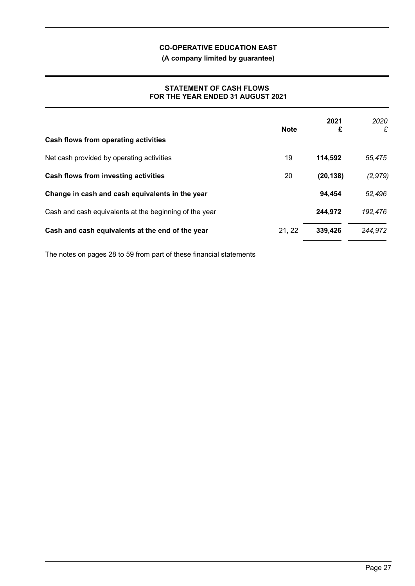**(A company limited by guarantee)**

### **STATEMENT OF CASH FLOWS FOR THE YEAR ENDED 31 AUGUST 2021**

| Cash flows from operating activities                   | <b>Note</b> | 2021<br>£ | 2020<br>£ |
|--------------------------------------------------------|-------------|-----------|-----------|
| Net cash provided by operating activities              | 19          | 114,592   | 55,475    |
| <b>Cash flows from investing activities</b>            | 20          | (20, 138) | (2, 979)  |
| Change in cash and cash equivalents in the year        |             | 94,454    | 52,496    |
| Cash and cash equivalents at the beginning of the year |             | 244,972   | 192,476   |
| Cash and cash equivalents at the end of the year       | 21, 22      | 339,426   | 244,972   |

The notes on pages 28 to 59 from part of these financial statements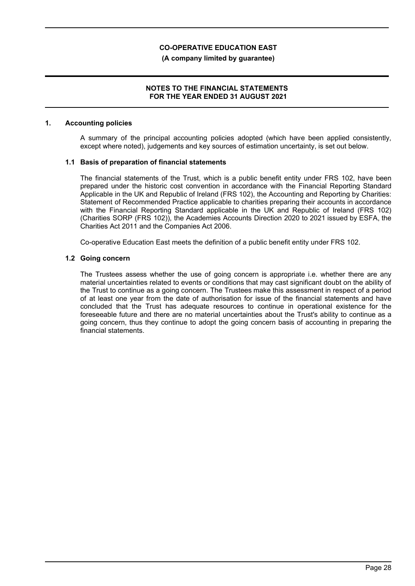### **(A company limited by guarantee)**

### **NOTES TO THE FINANCIAL STATEMENTS FOR THE YEAR ENDED 31 AUGUST 2021**

#### **1. Accounting policies**

A summary of the principal accounting policies adopted (which have been applied consistently, except where noted), judgements and key sources of estimation uncertainty, is set out below.

### **1.1 Basis of preparation of financial statements**

The financial statements of the Trust, which is a public benefit entity under FRS 102, have been prepared under the historic cost convention in accordance with the Financial Reporting Standard Applicable in the UK and Republic of Ireland (FRS 102), the Accounting and Reporting by Charities: Statement of Recommended Practice applicable to charities preparing their accounts in accordance with the Financial Reporting Standard applicable in the UK and Republic of Ireland (FRS 102) (Charities SORP (FRS 102)), the Academies Accounts Direction 2020 to 2021 issued by ESFA, the Charities Act 2011 and the Companies Act 2006.

Co-operative Education East meets the definition of a public benefit entity under FRS 102.

### **1.2 Going concern**

The Trustees assess whether the use of going concern is appropriate i.e. whether there are any material uncertainties related to events or conditions that may cast significant doubt on the ability of the Trust to continue as a going concern. The Trustees make this assessment in respect of a period of at least one year from the date of authorisation for issue of the financial statements and have concluded that the Trust has adequate resources to continue in operational existence for the foreseeable future and there are no material uncertainties about the Trust's ability to continue as a going concern, thus they continue to adopt the going concern basis of accounting in preparing the financial statements.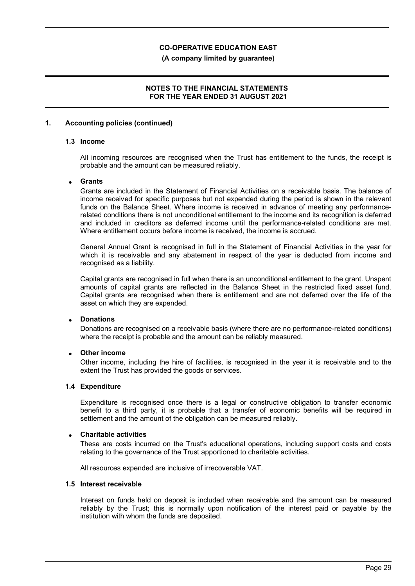#### **(A company limited by guarantee)**

### **NOTES TO THE FINANCIAL STATEMENTS FOR THE YEAR ENDED 31 AUGUST 2021**

### **1. Accounting policies (continued)**

### **1.3 Income**

All incoming resources are recognised when the Trust has entitlement to the funds, the receipt is probable and the amount can be measured reliably.

### **Grants**

Grants are included in the Statement of Financial Activities on a receivable basis. The balance of income received for specific purposes but not expended during the period is shown in the relevant funds on the Balance Sheet. Where income is received in advance of meeting any performancerelated conditions there is not unconditional entitlement to the income and its recognition is deferred and included in creditors as deferred income until the performance-related conditions are met. Where entitlement occurs before income is received, the income is accrued.

General Annual Grant is recognised in full in the Statement of Financial Activities in the year for which it is receivable and any abatement in respect of the year is deducted from income and recognised as a liability.

Capital grants are recognised in full when there is an unconditional entitlement to the grant. Unspent amounts of capital grants are reflected in the Balance Sheet in the restricted fixed asset fund. Capital grants are recognised when there is entitlement and are not deferred over the life of the asset on which they are expended.

### **Donations**

Donations are recognised on a receivable basis (where there are no performance-related conditions) where the receipt is probable and the amount can be reliably measured.

### **Other income**

Other income, including the hire of facilities, is recognised in the year it is receivable and to the extent the Trust has provided the goods or services.

#### **1.4 Expenditure**

Expenditure is recognised once there is a legal or constructive obligation to transfer economic benefit to a third party, it is probable that a transfer of economic benefits will be required in settlement and the amount of the obligation can be measured reliably.

#### **Charitable activities**

These are costs incurred on the Trust's educational operations, including support costs and costs relating to the governance of the Trust apportioned to charitable activities.

All resources expended are inclusive of irrecoverable VAT.

#### **1.5 Interest receivable**

Interest on funds held on deposit is included when receivable and the amount can be measured reliably by the Trust; this is normally upon notification of the interest paid or payable by the institution with whom the funds are deposited.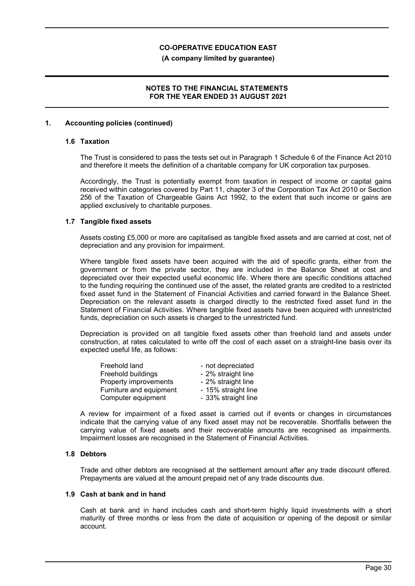#### **(A company limited by guarantee)**

### **NOTES TO THE FINANCIAL STATEMENTS FOR THE YEAR ENDED 31 AUGUST 2021**

### **1. Accounting policies (continued)**

### **1.6 Taxation**

The Trust is considered to pass the tests set out in Paragraph 1 Schedule 6 of the Finance Act 2010 and therefore it meets the definition of a charitable company for UK corporation tax purposes.

Accordingly, the Trust is potentially exempt from taxation in respect of income or capital gains received within categories covered by Part 11, chapter 3 of the Corporation Tax Act 2010 or Section 256 of the Taxation of Chargeable Gains Act 1992, to the extent that such income or gains are applied exclusively to charitable purposes.

### **1.7 Tangible fixed assets**

Assets costing £5,000 or more are capitalised as tangible fixed assets and are carried at cost, net of depreciation and any provision for impairment.

Where tangible fixed assets have been acquired with the aid of specific grants, either from the government or from the private sector, they are included in the Balance Sheet at cost and depreciated over their expected useful economic life. Where there are specific conditions attached to the funding requiring the continued use of the asset, the related grants are credited to a restricted fixed asset fund in the Statement of Financial Activities and carried forward in the Balance Sheet. Depreciation on the relevant assets is charged directly to the restricted fixed asset fund in the Statement of Financial Activities. Where tangible fixed assets have been acquired with unrestricted funds, depreciation on such assets is charged to the unrestricted fund.

Depreciation is provided on all tangible fixed assets other than freehold land and assets under construction, at rates calculated to write off the cost of each asset on a straight-line basis over its expected useful life, as follows:

| Freehold land           | - not depreciated   |
|-------------------------|---------------------|
| Freehold buildings      | - 2% straight line  |
| Property improvements   | - 2% straight line  |
| Furniture and equipment | - 15% straight line |
| Computer equipment      | - 33% straight line |

A review for impairment of a fixed asset is carried out if events or changes in circumstances indicate that the carrying value of any fixed asset may not be recoverable. Shortfalls between the carrying value of fixed assets and their recoverable amounts are recognised as impairments. Impairment losses are recognised in the Statement of Financial Activities.

### **1.8 Debtors**

Trade and other debtors are recognised at the settlement amount after any trade discount offered. Prepayments are valued at the amount prepaid net of any trade discounts due.

#### **1.9 Cash at bank and in hand**

Cash at bank and in hand includes cash and short-term highly liquid investments with a short maturity of three months or less from the date of acquisition or opening of the deposit or similar account.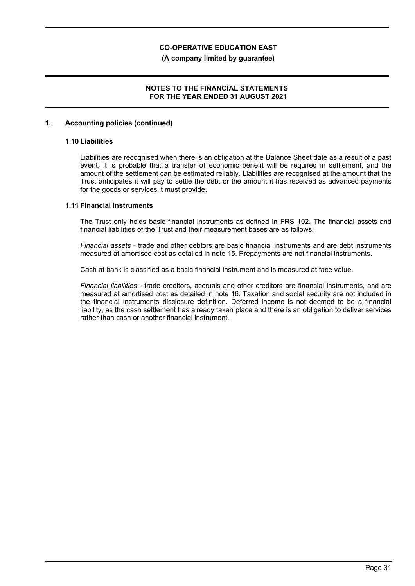### **(A company limited by guarantee)**

### **NOTES TO THE FINANCIAL STATEMENTS FOR THE YEAR ENDED 31 AUGUST 2021**

### **1. Accounting policies (continued)**

### **1.10 Liabilities**

Liabilities are recognised when there is an obligation at the Balance Sheet date as a result of a past event, it is probable that a transfer of economic benefit will be required in settlement, and the amount of the settlement can be estimated reliably. Liabilities are recognised at the amount that the Trust anticipates it will pay to settle the debt or the amount it has received as advanced payments for the goods or services it must provide.

### **1.11 Financial instruments**

The Trust only holds basic financial instruments as defined in FRS 102. The financial assets and financial liabilities of the Trust and their measurement bases are as follows:

*Financial assets* - trade and other debtors are basic financial instruments and are debt instruments measured at amortised cost as detailed in note 15. Prepayments are not financial instruments.

Cash at bank is classified as a basic financial instrument and is measured at face value.

*Financial liabilities* - trade creditors, accruals and other creditors are financial instruments, and are measured at amortised cost as detailed in note 16. Taxation and social security are not included in the financial instruments disclosure definition. Deferred income is not deemed to be a financial liability, as the cash settlement has already taken place and there is an obligation to deliver services rather than cash or another financial instrument.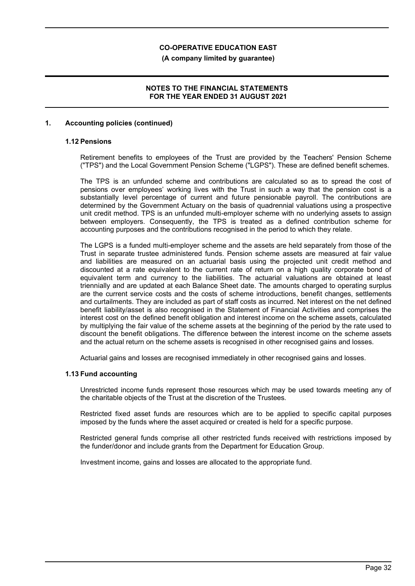**(A company limited by guarantee)**

### **NOTES TO THE FINANCIAL STATEMENTS FOR THE YEAR ENDED 31 AUGUST 2021**

### **1. Accounting policies (continued)**

### **1.12 Pensions**

Retirement benefits to employees of the Trust are provided by the Teachers' Pension Scheme ("TPS") and the Local Government Pension Scheme ("LGPS"). These are defined benefit schemes.

The TPS is an unfunded scheme and contributions are calculated so as to spread the cost of pensions over employees' working lives with the Trust in such a way that the pension cost is a substantially level percentage of current and future pensionable payroll. The contributions are determined by the Government Actuary on the basis of quadrennial valuations using a prospective unit credit method. TPS is an unfunded multi-employer scheme with no underlying assets to assign between employers. Consequently, the TPS is treated as a defined contribution scheme for accounting purposes and the contributions recognised in the period to which they relate.

The LGPS is a funded multi-employer scheme and the assets are held separately from those of the Trust in separate trustee administered funds. Pension scheme assets are measured at fair value and liabilities are measured on an actuarial basis using the projected unit credit method and discounted at a rate equivalent to the current rate of return on a high quality corporate bond of equivalent term and currency to the liabilities. The actuarial valuations are obtained at least triennially and are updated at each Balance Sheet date. The amounts charged to operating surplus are the current service costs and the costs of scheme introductions, benefit changes, settlements and curtailments. They are included as part of staff costs as incurred. Net interest on the net defined benefit liability/asset is also recognised in the Statement of Financial Activities and comprises the interest cost on the defined benefit obligation and interest income on the scheme assets, calculated by multiplying the fair value of the scheme assets at the beginning of the period by the rate used to discount the benefit obligations. The difference between the interest income on the scheme assets and the actual return on the scheme assets is recognised in other recognised gains and losses.

Actuarial gains and losses are recognised immediately in other recognised gains and losses.

### **1.13 Fund accounting**

Unrestricted income funds represent those resources which may be used towards meeting any of the charitable objects of the Trust at the discretion of the Trustees.

Restricted fixed asset funds are resources which are to be applied to specific capital purposes imposed by the funds where the asset acquired or created is held for a specific purpose.

Restricted general funds comprise all other restricted funds received with restrictions imposed by the funder/donor and include grants from the Department for Education Group.

Investment income, gains and losses are allocated to the appropriate fund.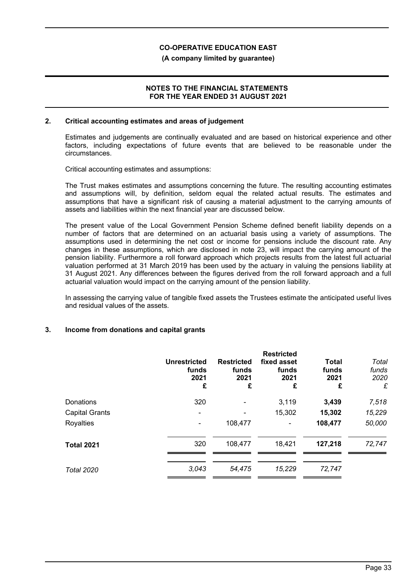### **(A company limited by guarantee)**

### **NOTES TO THE FINANCIAL STATEMENTS FOR THE YEAR ENDED 31 AUGUST 2021**

### **2. Critical accounting estimates and areas of judgement**

Estimates and judgements are continually evaluated and are based on historical experience and other factors, including expectations of future events that are believed to be reasonable under the circumstances.

Critical accounting estimates and assumptions:

The Trust makes estimates and assumptions concerning the future. The resulting accounting estimates and assumptions will, by definition, seldom equal the related actual results. The estimates and assumptions that have a significant risk of causing a material adjustment to the carrying amounts of assets and liabilities within the next financial year are discussed below.

The present value of the Local Government Pension Scheme defined benefit liability depends on a number of factors that are determined on an actuarial basis using a variety of assumptions. The assumptions used in determining the net cost or income for pensions include the discount rate. Any changes in these assumptions, which are disclosed in note 23, will impact the carrying amount of the pension liability. Furthermore a roll forward approach which projects results from the latest full actuarial valuation performed at 31 March 2019 has been used by the actuary in valuing the pensions liability at 31 August 2021. Any differences between the figures derived from the roll forward approach and a full actuarial valuation would impact on the carrying amount of the pension liability.

In assessing the carrying value of tangible fixed assets the Trustees estimate the anticipated useful lives and residual values of the assets.

### **3. Income from donations and capital grants**

|                       | <b>Unrestricted</b><br>funds<br>2021<br>£ | <b>Restricted</b><br>funds<br>2021<br>£ | <b>Restricted</b><br>fixed asset<br>funds<br>2021<br>£ | <b>Total</b><br>funds<br>2021<br>£ | Total<br>funds<br>2020<br>£ |
|-----------------------|-------------------------------------------|-----------------------------------------|--------------------------------------------------------|------------------------------------|-----------------------------|
| Donations             | 320                                       | $\overline{\phantom{0}}$                | 3,119                                                  | 3,439                              | 7,518                       |
| <b>Capital Grants</b> | $\overline{\phantom{a}}$                  |                                         | 15,302                                                 | 15,302                             | 15,229                      |
| Royalties             |                                           | 108,477                                 | ۰                                                      | 108,477                            | 50,000                      |
| <b>Total 2021</b>     | 320                                       | 108,477                                 | 18,421                                                 | 127,218                            | 72,747                      |
| <b>Total 2020</b>     | 3,043                                     | 54,475                                  | 15,229                                                 | 72,747                             |                             |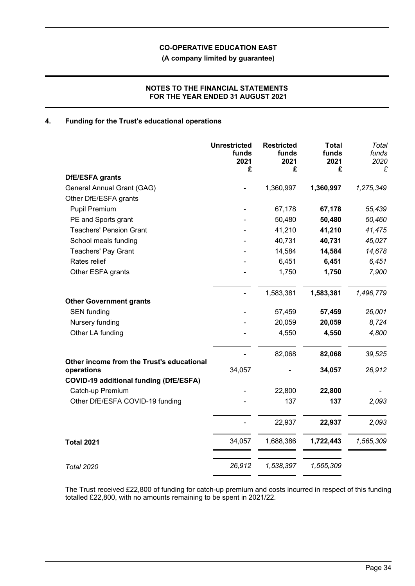**(A company limited by guarantee)**

### **NOTES TO THE FINANCIAL STATEMENTS FOR THE YEAR ENDED 31 AUGUST 2021**

### **4. Funding for the Trust's educational operations**

|                                               | <b>Unrestricted</b><br>funds<br>2021<br>£ | <b>Restricted</b><br>funds<br>2021<br>£ | <b>Total</b><br>funds<br>2021<br>£ | Total<br>funds<br>2020<br>£ |
|-----------------------------------------------|-------------------------------------------|-----------------------------------------|------------------------------------|-----------------------------|
| DfE/ESFA grants                               |                                           |                                         |                                    |                             |
| General Annual Grant (GAG)                    |                                           | 1,360,997                               | 1,360,997                          | 1,275,349                   |
| Other DfE/ESFA grants                         |                                           |                                         |                                    |                             |
| <b>Pupil Premium</b>                          |                                           | 67,178                                  | 67,178                             | 55,439                      |
| PE and Sports grant                           |                                           | 50,480                                  | 50,480                             | 50,460                      |
| <b>Teachers' Pension Grant</b>                |                                           | 41,210                                  | 41,210                             | 41,475                      |
| School meals funding                          |                                           | 40,731                                  | 40,731                             | 45,027                      |
| <b>Teachers' Pay Grant</b>                    |                                           | 14,584                                  | 14,584                             | 14,678                      |
| Rates relief                                  |                                           | 6,451                                   | 6,451                              | 6,451                       |
| Other ESFA grants                             |                                           | 1,750                                   | 1,750                              | 7,900                       |
| <b>Other Government grants</b>                |                                           | 1,583,381                               | 1,583,381                          | 1,496,779                   |
| <b>SEN</b> funding                            |                                           | 57,459                                  | 57,459                             | 26,001                      |
| Nursery funding                               |                                           | 20,059                                  | 20,059                             | 8,724                       |
| Other LA funding                              |                                           | 4,550                                   | 4,550                              | 4,800                       |
|                                               |                                           |                                         |                                    |                             |
| Other income from the Trust's educational     |                                           | 82,068                                  | 82,068                             | 39,525                      |
| operations                                    | 34,057                                    |                                         | 34,057                             | 26,912                      |
| <b>COVID-19 additional funding (DfE/ESFA)</b> |                                           |                                         |                                    |                             |
| Catch-up Premium                              |                                           | 22,800                                  | 22,800                             |                             |
| Other DfE/ESFA COVID-19 funding               |                                           | 137                                     | 137                                | 2,093                       |
|                                               |                                           | 22,937                                  | 22,937                             | 2,093                       |
| <b>Total 2021</b>                             | 34,057                                    | 1,688,386                               | 1,722,443                          | 1,565,309                   |
| <b>Total 2020</b>                             | 26,912                                    | 1,538,397                               | 1,565,309                          |                             |

The Trust received £22,800 of funding for catch-up premium and costs incurred in respect of this funding totalled £22,800, with no amounts remaining to be spent in 2021/22.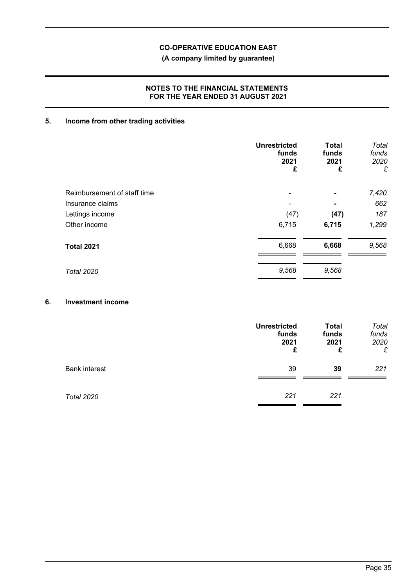## **(A company limited by guarantee)**

### **NOTES TO THE FINANCIAL STATEMENTS FOR THE YEAR ENDED 31 AUGUST 2021**

# **5. Income from other trading activities**

|                             | <b>Unrestricted</b><br>funds<br>2021<br>£ | <b>Total</b><br>funds<br>2021<br>£ | Total<br>funds<br>2020<br>£ |
|-----------------------------|-------------------------------------------|------------------------------------|-----------------------------|
| Reimbursement of staff time |                                           | $\blacksquare$                     | 7,420                       |
| Insurance claims            |                                           | ٠                                  | 662                         |
| Lettings income             | (47)                                      | (47)                               | 187                         |
| Other income                | 6,715                                     | 6,715                              | 1,299                       |
| <b>Total 2021</b>           | 6,668                                     | 6,668                              | 9,568                       |
| <b>Total 2020</b>           | 9,568                                     | 9,568                              |                             |

## **6. Investment income**

|                      | <b>Unrestricted</b><br>funds<br>2021<br>£ | <b>Total</b><br>funds<br>2021<br>£ | Total<br>funds<br>2020<br>£ |
|----------------------|-------------------------------------------|------------------------------------|-----------------------------|
| <b>Bank interest</b> | 39                                        | 39                                 | 221                         |
| <b>Total 2020</b>    | 221                                       | 221                                |                             |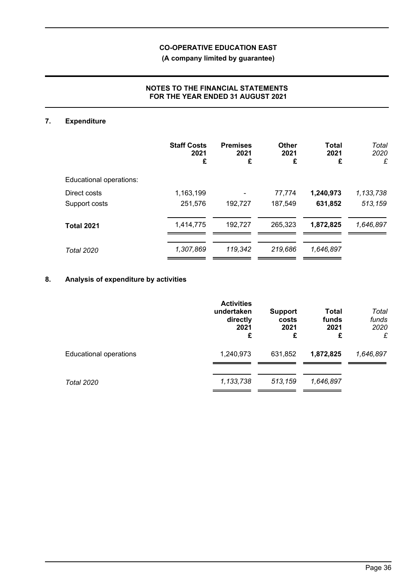**(A company limited by guarantee)**

### **NOTES TO THE FINANCIAL STATEMENTS FOR THE YEAR ENDED 31 AUGUST 2021**

# **7. Expenditure**

|                         | <b>Staff Costs</b><br>2021<br>£ | <b>Premises</b><br>2021<br>£ | <b>Other</b><br>2021<br>£ | <b>Total</b><br>2021<br>£ | Total<br>2020<br>£ |
|-------------------------|---------------------------------|------------------------------|---------------------------|---------------------------|--------------------|
| Educational operations: |                                 |                              |                           |                           |                    |
| Direct costs            | 1,163,199                       |                              | 77,774                    | 1,240,973                 | 1,133,738          |
| Support costs           | 251,576                         | 192,727                      | 187,549                   | 631,852                   | 513,159            |
| <b>Total 2021</b>       | 1,414,775                       | 192,727                      | 265,323                   | 1,872,825                 | 1,646,897          |
| <b>Total 2020</b>       | 1,307,869                       | 119,342                      | 219,686                   | 1,646,897                 |                    |

# **8. Analysis of expenditure by activities**

|                               | <b>Activities</b><br>undertaken<br>directly<br>2021<br>£ | <b>Support</b><br>costs<br>2021<br>£ | <b>Total</b><br>funds<br>2021<br>£ | Total<br>funds<br>2020<br>£ |
|-------------------------------|----------------------------------------------------------|--------------------------------------|------------------------------------|-----------------------------|
| <b>Educational operations</b> | 1,240,973                                                | 631,852                              | 1,872,825                          | 1,646,897                   |
| <b>Total 2020</b>             | 1,133,738                                                | 513,159                              | 1,646,897                          |                             |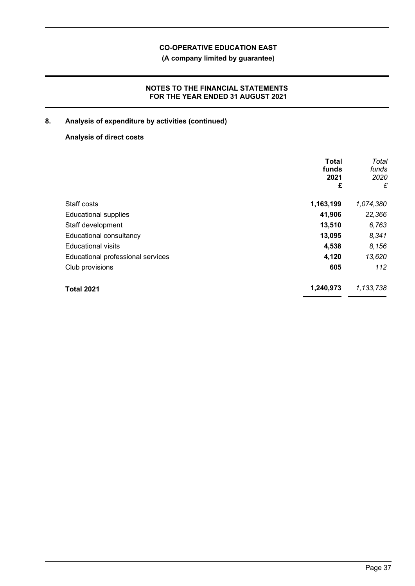**(A company limited by guarantee)**

## **NOTES TO THE FINANCIAL STATEMENTS FOR THE YEAR ENDED 31 AUGUST 2021**

# **8. Analysis of expenditure by activities (continued)**

## **Analysis of direct costs**

|                                   | <b>Total</b><br>funds<br>2021<br>£ | Total<br>funds<br>2020<br>£ |
|-----------------------------------|------------------------------------|-----------------------------|
| Staff costs                       | 1,163,199                          | 1,074,380                   |
| <b>Educational supplies</b>       | 41,906                             | 22,366                      |
| Staff development                 | 13,510                             | 6,763                       |
| Educational consultancy           | 13,095                             | 8,341                       |
| <b>Educational visits</b>         | 4,538                              | 8,156                       |
| Educational professional services | 4,120                              | 13,620                      |
| Club provisions                   | 605                                | 112                         |
| <b>Total 2021</b>                 | 1,240,973                          | 1,133,738                   |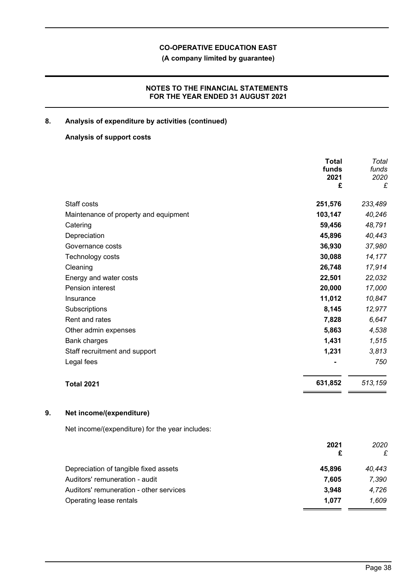**(A company limited by guarantee)**

## **NOTES TO THE FINANCIAL STATEMENTS FOR THE YEAR ENDED 31 AUGUST 2021**

## **8. Analysis of expenditure by activities (continued)**

### **Analysis of support costs**

|    |                                                 | <b>Total</b><br>funds<br>2021<br>£ | Total<br>funds<br>2020<br>£ |
|----|-------------------------------------------------|------------------------------------|-----------------------------|
|    | Staff costs                                     | 251,576                            | 233,489                     |
|    | Maintenance of property and equipment           | 103,147                            | 40,246                      |
|    | Catering                                        | 59,456                             | 48,791                      |
|    | Depreciation                                    | 45,896                             | 40,443                      |
|    | Governance costs                                | 36,930                             | 37,980                      |
|    | Technology costs                                | 30,088                             | 14,177                      |
|    | Cleaning                                        | 26,748                             | 17,914                      |
|    | Energy and water costs                          | 22,501                             | 22,032                      |
|    | Pension interest                                | 20,000                             | 17,000                      |
|    | Insurance                                       | 11,012                             | 10,847                      |
|    | Subscriptions                                   | 8,145                              | 12,977                      |
|    | Rent and rates                                  | 7,828                              | 6,647                       |
|    | Other admin expenses                            | 5,863                              | 4,538                       |
|    | <b>Bank charges</b>                             | 1,431                              | 1,515                       |
|    | Staff recruitment and support                   | 1,231                              | 3,813                       |
|    | Legal fees                                      |                                    | 750                         |
|    | <b>Total 2021</b>                               | 631,852                            | 513,159                     |
| 9. | Net income/(expenditure)                        |                                    |                             |
|    | Net income/(expenditure) for the year includes: |                                    |                             |
|    |                                                 | 2021<br>£                          | 2020<br>£                   |
|    | Depreciation of tangible fixed assets           | 45,896                             | 40.443                      |

Auditors' remuneration - audit **7,605** *7,390* Auditors' remuneration - other services **3,948** *4,726*

Operating lease rentals **1,077** *1,609*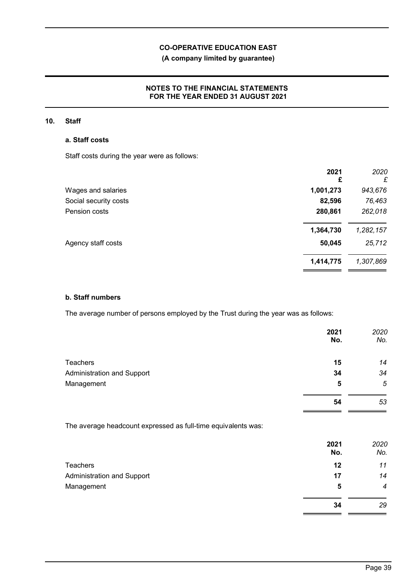## **(A company limited by guarantee)**

## **NOTES TO THE FINANCIAL STATEMENTS FOR THE YEAR ENDED 31 AUGUST 2021**

### **10. Staff**

### **a. Staff costs**

Staff costs during the year were as follows:

|                       | 2021<br>£ | 2020<br>£ |
|-----------------------|-----------|-----------|
| Wages and salaries    | 1,001,273 | 943,676   |
| Social security costs | 82,596    | 76,463    |
| Pension costs         | 280,861   | 262,018   |
|                       | 1,364,730 | 1,282,157 |
| Agency staff costs    | 50,045    | 25,712    |
|                       | 1,414,775 | 1,307,869 |

### **b. Staff numbers**

The average number of persons employed by the Trust during the year was as follows:

|                            | 2021<br>No. | 2020<br>No. |
|----------------------------|-------------|-------------|
| <b>Teachers</b>            | 15          | 14          |
| Administration and Support | 34          | 34          |
| Management                 | 5           | 5           |
|                            | 54          | 53          |

The average headcount expressed as full-time equivalents was:

|                            | 2021<br>No. | 2020<br>No.      |
|----------------------------|-------------|------------------|
| Teachers                   | 12          | 11               |
| Administration and Support | 17          | 14               |
| Management                 | 5           | $\boldsymbol{4}$ |
|                            | 34          | 29               |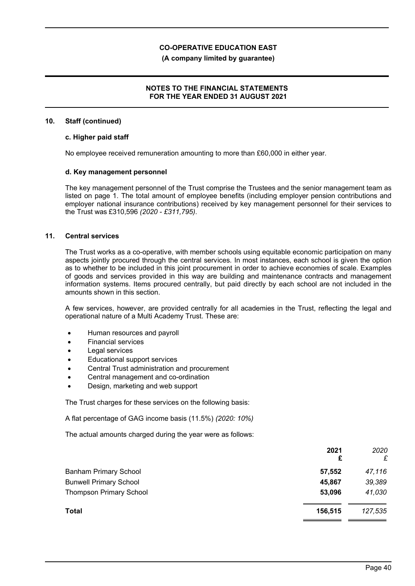### **(A company limited by guarantee)**

### **NOTES TO THE FINANCIAL STATEMENTS FOR THE YEAR ENDED 31 AUGUST 2021**

#### **10. Staff (continued)**

#### **c. Higher paid staff**

No employee received remuneration amounting to more than £60,000 in either year.

### **d. Key management personnel**

The key management personnel of the Trust comprise the Trustees and the senior management team as listed on page 1. The total amount of employee benefits (including employer pension contributions and employer national insurance contributions) received by key management personnel for their services to the Trust was £310,596 *(2020 - £311,795)*.

### **11. Central services**

The Trust works as a co-operative, with member schools using equitable economic participation on many aspects jointly procured through the central services. In most instances, each school is given the option as to whether to be included in this joint procurement in order to achieve economies of scale. Examples of goods and services provided in this way are building and maintenance contracts and management information systems. Items procured centrally, but paid directly by each school are not included in the amounts shown in this section.

A few services, however, are provided centrally for all academies in the Trust, reflecting the legal and operational nature of a Multi Academy Trust. These are:

- Human resources and payroll
- Financial services
- Legal services
- Educational support services
- Central Trust administration and procurement
- Central management and co-ordination
- Design, marketing and web support

The Trust charges for these services on the following basis:

A flat percentage of GAG income basis (11.5%) *(2020: 10%)*

The actual amounts charged during the year were as follows:

|                                | 2021<br>£ | 2020<br>£ |
|--------------------------------|-----------|-----------|
| <b>Banham Primary School</b>   | 57,552    | 47,116    |
| <b>Bunwell Primary School</b>  | 45,867    | 39,389    |
| <b>Thompson Primary School</b> | 53,096    | 41,030    |
| <b>Total</b>                   | 156.515   | 127,535   |
|                                |           |           |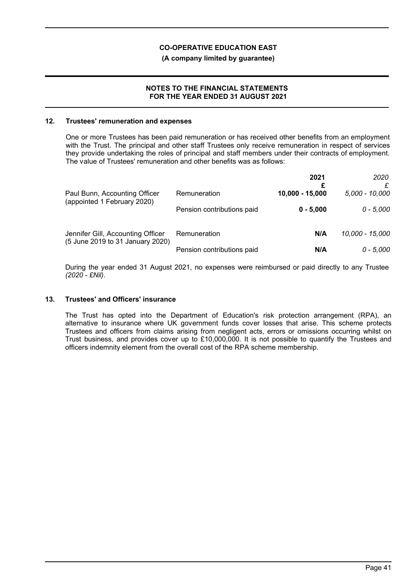### **(A company limited by guarantee)**

### **NOTES TO THE FINANCIAL STATEMENTS FOR THE YEAR ENDED 31 AUGUST 2021**

#### **12. Trustees' remuneration and expenses**

One or more Trustees has been paid remuneration or has received other benefits from an employment with the Trust. The principal and other staff Trustees only receive remuneration in respect of services they provide undertaking the roles of principal and staff members under their contracts of employment. The value of Trustees' remuneration and other benefits was as follows:

|                                                                       |                            | 2021            | 2020            |
|-----------------------------------------------------------------------|----------------------------|-----------------|-----------------|
| Paul Bunn, Accounting Officer<br>(appointed 1 February 2020)          | Remuneration               | 10,000 - 15,000 | 5,000 - 10,000  |
|                                                                       | Pension contributions paid | $0 - 5.000$     | $0 - 5,000$     |
| Jennifer Gill, Accounting Officer<br>(5 June 2019 to 31 January 2020) | Remuneration               | N/A             | 10,000 - 15,000 |
|                                                                       | Pension contributions paid | N/A             | $0 - 5,000$     |

During the year ended 31 August 2021, no expenses were reimbursed or paid directly to any Trustee *(2020 - £Nil)*.

### **13. Trustees' and Officers' insurance**

The Trust has opted into the Department of Education's risk protection arrangement (RPA), an alternative to insurance where UK government funds cover losses that arise. This scheme protects Trustees and officers from claims arising from negligent acts, errors or omissions occurring whilst on Trust business, and provides cover up to £10,000,000. It is not possible to quantify the Trustees and officers indemnity element from the overall cost of the RPA scheme membership.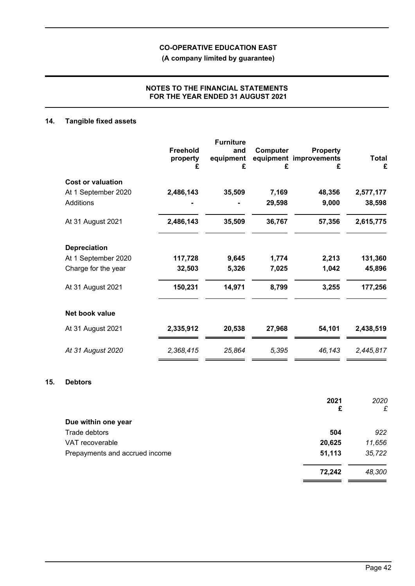**(A company limited by guarantee)**

### **NOTES TO THE FINANCIAL STATEMENTS FOR THE YEAR ENDED 31 AUGUST 2021**

# **14. Tangible fixed assets**

|                          | <b>Freehold</b><br>property<br>£ | <b>Furniture</b><br>and<br>equipment<br>£ | Computer<br>equipment<br>£ | <b>Property</b><br>improvements<br>£ | <b>Total</b><br>£ |
|--------------------------|----------------------------------|-------------------------------------------|----------------------------|--------------------------------------|-------------------|
| <b>Cost or valuation</b> |                                  |                                           |                            |                                      |                   |
| At 1 September 2020      | 2,486,143                        | 35,509                                    | 7,169                      | 48,356                               | 2,577,177         |
| <b>Additions</b>         |                                  |                                           | 29,598                     | 9,000                                | 38,598            |
| At 31 August 2021        | 2,486,143                        | 35,509                                    | 36,767                     | 57,356                               | 2,615,775         |
| <b>Depreciation</b>      |                                  |                                           |                            |                                      |                   |
| At 1 September 2020      | 117,728                          | 9,645                                     | 1,774                      | 2,213                                | 131,360           |
| Charge for the year      | 32,503                           | 5,326                                     | 7,025                      | 1,042                                | 45,896            |
| At 31 August 2021        | 150,231                          | 14,971                                    | 8,799                      | 3,255                                | 177,256           |
| Net book value           |                                  |                                           |                            |                                      |                   |
| At 31 August 2021        | 2,335,912                        | 20,538                                    | 27,968                     | 54,101                               | 2,438,519         |
| At 31 August 2020        | 2,368,415                        | 25,864                                    | 5,395                      | 46,143                               | 2,445,817         |

### **15. Debtors**

|                                | 2021<br>£ | 2020<br>£ |
|--------------------------------|-----------|-----------|
| Due within one year            |           |           |
| Trade debtors                  | 504       | 922       |
| VAT recoverable                | 20,625    | 11,656    |
| Prepayments and accrued income | 51,113    | 35,722    |
|                                | 72,242    | 48,300    |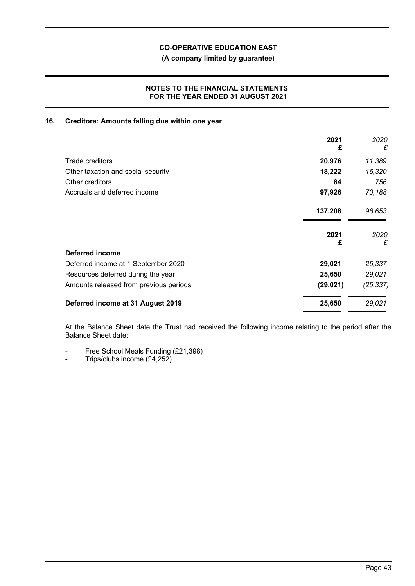**(A company limited by guarantee)**

### **NOTES TO THE FINANCIAL STATEMENTS FOR THE YEAR ENDED 31 AUGUST 2021**

### **16. Creditors: Amounts falling due within one year**

|                                        | 2021<br>£ | 2020<br>£ |
|----------------------------------------|-----------|-----------|
| Trade creditors                        | 20,976    | 11,389    |
| Other taxation and social security     | 18,222    | 16,320    |
| Other creditors                        | 84        | 756       |
| Accruals and deferred income           | 97,926    | 70,188    |
|                                        | 137,208   | 98,653    |
|                                        | 2021<br>£ | 2020<br>£ |
| <b>Deferred income</b>                 |           |           |
| Deferred income at 1 September 2020    | 29,021    | 25,337    |
| Resources deferred during the year     | 25,650    | 29,021    |
| Amounts released from previous periods | (29, 021) | (25, 337) |
| Deferred income at 31 August 2019      | 25,650    | 29,021    |

At the Balance Sheet date the Trust had received the following income relating to the period after the Balance Sheet date:

- Free School Meals Funding (£21,398)

- Trips/clubs income (£4,252)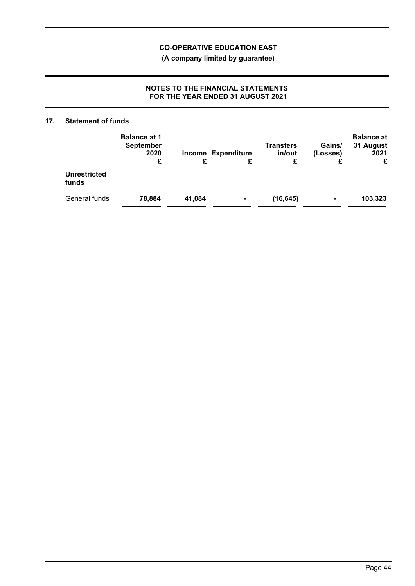**(A company limited by guarantee)**

## **NOTES TO THE FINANCIAL STATEMENTS FOR THE YEAR ENDED 31 AUGUST 2021**

### **17. Statement of funds**

|                              | <b>Balance at 1</b><br><b>September</b><br>2020 |        | <b>Income Expenditure</b> | <b>Transfers</b><br>in/out | Gains/<br>(Losses) | <b>Balance at</b><br>31 August<br>2021 |
|------------------------------|-------------------------------------------------|--------|---------------------------|----------------------------|--------------------|----------------------------------------|
|                              | £                                               | £      |                           | £                          |                    | £                                      |
| <b>Unrestricted</b><br>funds |                                                 |        |                           |                            |                    |                                        |
| General funds                | 78,884                                          | 41,084 |                           | (16, 645)                  | $\blacksquare$     | 103,323                                |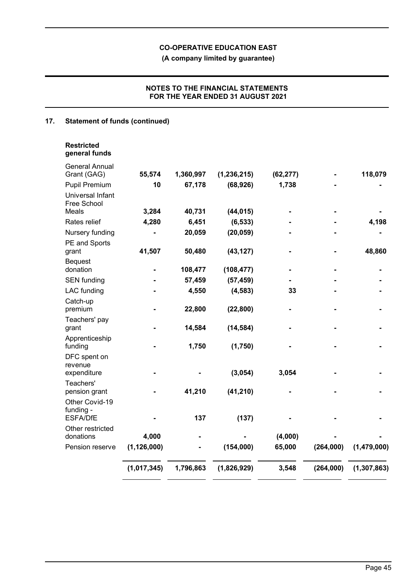**(A company limited by guarantee)**

## **NOTES TO THE FINANCIAL STATEMENTS FOR THE YEAR ENDED 31 AUGUST 2021**

# **17. Statement of funds (continued)**

| <b>Restricted</b> |  |
|-------------------|--|
| general funds     |  |

| <b>General Annual</b><br>Grant (GAG)     | 55,574        | 1,360,997 | (1, 236, 215) | (62, 277) |           | 118,079       |
|------------------------------------------|---------------|-----------|---------------|-----------|-----------|---------------|
| Pupil Premium                            | 10            | 67,178    | (68, 926)     | 1,738     |           |               |
| Universal Infant<br>Free School<br>Meals | 3,284         | 40,731    | (44, 015)     |           |           |               |
| Rates relief                             | 4,280         | 6,451     | (6, 533)      |           |           | 4,198         |
|                                          |               | 20,059    | (20, 059)     |           |           |               |
| Nursery funding                          |               |           |               |           |           |               |
| PE and Sports<br>grant                   | 41,507        | 50,480    | (43, 127)     |           |           | 48,860        |
| <b>Bequest</b>                           |               |           |               |           |           |               |
| donation                                 |               | 108,477   | (108, 477)    |           |           |               |
| <b>SEN funding</b>                       |               | 57,459    | (57, 459)     |           |           |               |
| <b>LAC</b> funding                       |               | 4,550     | (4, 583)      | 33        |           |               |
| Catch-up<br>premium                      |               | 22,800    | (22, 800)     |           |           |               |
| Teachers' pay<br>grant                   |               | 14,584    | (14, 584)     |           |           |               |
| Apprenticeship<br>funding                |               | 1,750     | (1,750)       |           |           |               |
| DFC spent on<br>revenue<br>expenditure   |               |           | (3,054)       | 3,054     |           |               |
| Teachers'<br>pension grant               |               | 41,210    | (41, 210)     |           |           |               |
| Other Covid-19<br>funding -<br>ESFA/DfE  |               | 137       | (137)         |           |           |               |
| Other restricted                         |               |           |               |           |           |               |
| donations                                | 4,000         |           |               | (4,000)   |           |               |
| Pension reserve                          | (1, 126, 000) |           | (154,000)     | 65,000    | (264,000) | (1,479,000)   |
|                                          | (1,017,345)   | 1,796,863 | (1,826,929)   | 3,548     | (264,000) | (1, 307, 863) |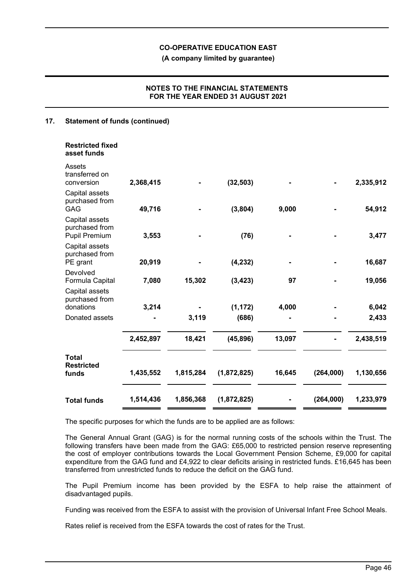**(A company limited by guarantee)**

### **NOTES TO THE FINANCIAL STATEMENTS FOR THE YEAR ENDED 31 AUGUST 2021**

### **17. Statement of funds (continued)**

| <b>Restricted fixed</b><br>asset funds                   |           |           |             |        |           |           |
|----------------------------------------------------------|-----------|-----------|-------------|--------|-----------|-----------|
| Assets<br>transferred on<br>conversion                   | 2,368,415 |           | (32, 503)   |        |           | 2,335,912 |
| Capital assets<br>purchased from<br>GAG                  | 49,716    |           | (3,804)     | 9,000  |           | 54,912    |
| Capital assets<br>purchased from<br><b>Pupil Premium</b> | 3,553     |           | (76)        |        |           | 3,477     |
| Capital assets<br>purchased from<br>PE grant             | 20,919    |           | (4, 232)    | ۰      |           | 16,687    |
| Devolved<br>Formula Capital                              | 7,080     | 15,302    | (3, 423)    | 97     |           | 19,056    |
| Capital assets<br>purchased from<br>donations            | 3,214     |           | (1, 172)    | 4,000  |           | 6,042     |
| Donated assets                                           |           | 3,119     | (686)       |        |           | 2,433     |
|                                                          | 2,452,897 | 18,421    | (45, 896)   | 13,097 |           | 2,438,519 |
| <b>Total</b><br><b>Restricted</b><br>funds               | 1,435,552 | 1,815,284 | (1,872,825) | 16,645 | (264,000) | 1,130,656 |
| <b>Total funds</b>                                       | 1,514,436 | 1,856,368 | (1,872,825) |        | (264,000) | 1,233,979 |

The specific purposes for which the funds are to be applied are as follows:

The General Annual Grant (GAG) is for the normal running costs of the schools within the Trust. The following transfers have been made from the GAG: £65,000 to restricted pension reserve representing the cost of employer contributions towards the Local Government Pension Scheme, £9,000 for capital expenditure from the GAG fund and £4,922 to clear deficits arising in restricted funds. £16,645 has been transferred from unrestricted funds to reduce the deficit on the GAG fund.

The Pupil Premium income has been provided by the ESFA to help raise the attainment of disadvantaged pupils.

Funding was received from the ESFA to assist with the provision of Universal Infant Free School Meals.

Rates relief is received from the ESFA towards the cost of rates for the Trust.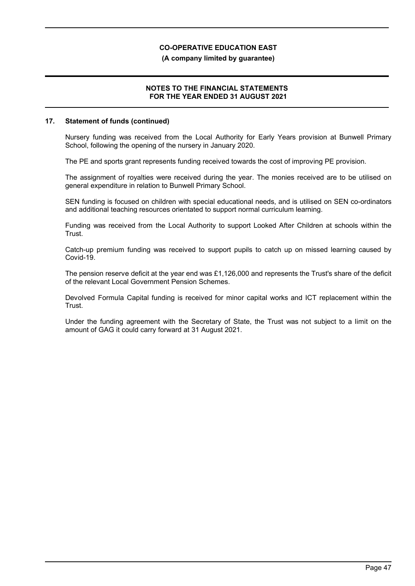### **(A company limited by guarantee)**

### **NOTES TO THE FINANCIAL STATEMENTS FOR THE YEAR ENDED 31 AUGUST 2021**

### **17. Statement of funds (continued)**

Nursery funding was received from the Local Authority for Early Years provision at Bunwell Primary School, following the opening of the nursery in January 2020.

The PE and sports grant represents funding received towards the cost of improving PE provision.

The assignment of royalties were received during the year. The monies received are to be utilised on general expenditure in relation to Bunwell Primary School.

SEN funding is focused on children with special educational needs, and is utilised on SEN co-ordinators and additional teaching resources orientated to support normal curriculum learning.

Funding was received from the Local Authority to support Looked After Children at schools within the Trust.

Catch-up premium funding was received to support pupils to catch up on missed learning caused by Covid-19.

The pension reserve deficit at the year end was £1,126,000 and represents the Trust's share of the deficit of the relevant Local Government Pension Schemes.

Devolved Formula Capital funding is received for minor capital works and ICT replacement within the Trust.

Under the funding agreement with the Secretary of State, the Trust was not subject to a limit on the amount of GAG it could carry forward at 31 August 2021.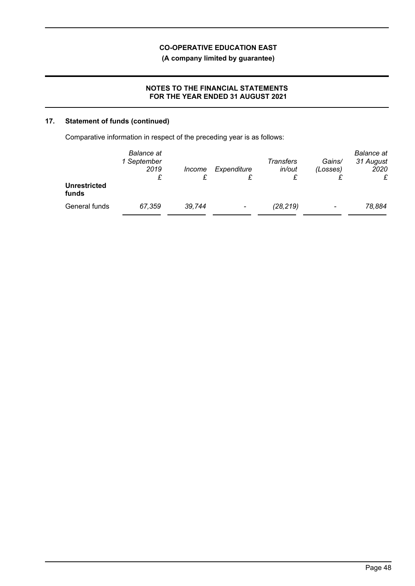**(A company limited by guarantee)**

### **NOTES TO THE FINANCIAL STATEMENTS FOR THE YEAR ENDED 31 AUGUST 2021**

# **17. Statement of funds (continued)**

Comparative information in respect of the preceding year is as follows:

| <b>Unrestricted</b><br>funds | Balance at<br>1 September<br>2019<br>£ | Income | Expenditure              | Transfers<br>in/out | Gains/<br>(Losses)       | <b>Balance</b> at<br>31 August<br>2020 |
|------------------------------|----------------------------------------|--------|--------------------------|---------------------|--------------------------|----------------------------------------|
| General funds                | 67,359                                 | 39,744 | $\overline{\phantom{0}}$ | (28, 219)           | $\overline{\phantom{a}}$ | 78,884                                 |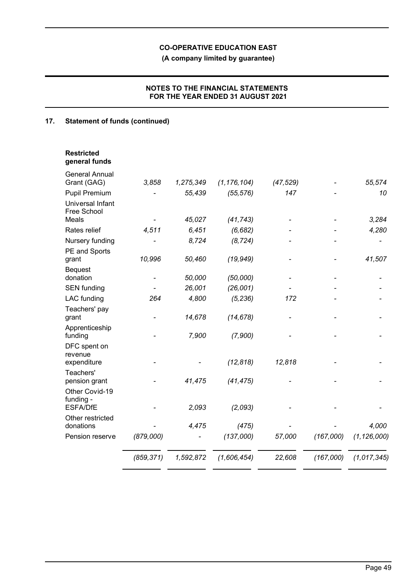**(A company limited by guarantee)**

## **NOTES TO THE FINANCIAL STATEMENTS FOR THE YEAR ENDED 31 AUGUST 2021**

# **17. Statement of funds (continued)**

| <b>Restricted</b><br>general funds             |            |           |               |           |           |               |
|------------------------------------------------|------------|-----------|---------------|-----------|-----------|---------------|
| <b>General Annual</b><br>Grant (GAG)           | 3,858      | 1,275,349 | (1, 176, 104) | (47, 529) |           | 55,574        |
| <b>Pupil Premium</b>                           |            | 55,439    | (55, 576)     | 147       |           | 10            |
| Universal Infant<br>Free School                |            |           |               |           |           |               |
| Meals                                          |            | 45,027    | (41, 743)     |           |           | 3,284         |
| Rates relief                                   | 4,511      | 6,451     | (6, 682)      |           |           | 4,280         |
| Nursery funding                                |            | 8,724     | (8, 724)      |           |           |               |
| PE and Sports<br>grant                         | 10,996     | 50,460    | (19, 949)     |           |           | 41,507        |
| <b>Bequest</b><br>donation                     |            | 50,000    | (50,000)      |           |           |               |
| <b>SEN</b> funding                             |            | 26,001    | (26,001)      |           |           |               |
| <b>LAC</b> funding                             | 264        | 4,800     | (5, 236)      | 172       |           |               |
| Teachers' pay<br>grant                         |            | 14,678    | (14, 678)     |           |           |               |
| Apprenticeship<br>funding                      |            | 7,900     | (7,900)       |           |           |               |
| DFC spent on<br>revenue                        |            |           |               |           |           |               |
| expenditure                                    |            |           | (12, 818)     | 12,818    |           |               |
| Teachers'<br>pension grant                     |            | 41,475    | (41, 475)     |           |           |               |
| Other Covid-19<br>funding -<br><b>ESFA/DfE</b> |            | 2,093     | (2,093)       |           |           |               |
| Other restricted                               |            |           |               |           |           |               |
| donations                                      |            | 4,475     | (475)         |           |           | 4,000         |
| Pension reserve                                | (879,000)  |           | (137,000)     | 57,000    | (167,000) | (1, 126, 000) |
|                                                | (859, 371) | 1,592,872 | (1,606,454)   | 22,608    | (167,000) | (1, 017, 345) |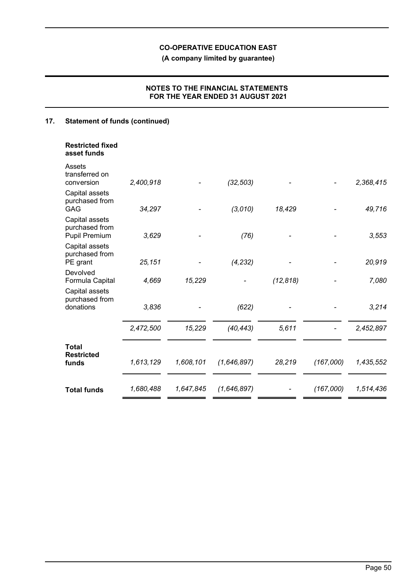**(A company limited by guarantee)**

## **NOTES TO THE FINANCIAL STATEMENTS FOR THE YEAR ENDED 31 AUGUST 2021**

# **17. Statement of funds (continued)**

| <b>Restricted fixed</b><br>asset funds                   |           |           |             |           |           |           |
|----------------------------------------------------------|-----------|-----------|-------------|-----------|-----------|-----------|
| Assets<br>transferred on<br>conversion                   | 2,400,918 |           | (32, 503)   |           |           | 2,368,415 |
| Capital assets<br>purchased from<br>GAG                  | 34,297    |           | (3,010)     | 18,429    |           | 49,716    |
| Capital assets<br>purchased from<br><b>Pupil Premium</b> | 3,629     |           | (76)        |           |           | 3,553     |
| Capital assets<br>purchased from<br>PE grant             | 25,151    |           | (4, 232)    |           |           | 20,919    |
| Devolved<br>Formula Capital                              | 4,669     | 15,229    |             | (12, 818) |           | 7,080     |
| Capital assets<br>purchased from<br>donations            | 3,836     |           | (622)       |           |           | 3,214     |
|                                                          | 2,472,500 | 15,229    | (40, 443)   | 5,611     |           | 2,452,897 |
| <b>Total</b><br><b>Restricted</b><br>funds               | 1,613,129 | 1,608,101 | (1,646,897) | 28,219    | (167,000) | 1,435,552 |
| <b>Total funds</b>                                       | 1,680,488 | 1,647,845 | (1,646,897) |           | (167,000) | 1,514,436 |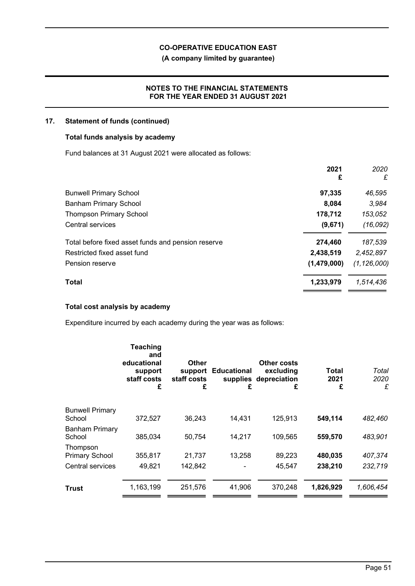## **(A company limited by guarantee)**

### **NOTES TO THE FINANCIAL STATEMENTS FOR THE YEAR ENDED 31 AUGUST 2021**

### **17. Statement of funds (continued)**

### **Total funds analysis by academy**

Fund balances at 31 August 2021 were allocated as follows:

| 2021<br>£   | 2020<br>£     |
|-------------|---------------|
| 97,335      | 46,595        |
| 8,084       | 3,984         |
| 178,712     | 153,052       |
| (9,671)     | (16, 092)     |
| 274,460     | 187,539       |
| 2,438,519   | 2,452,897     |
| (1,479,000) | (1, 126, 000) |
| 1,233,979   | 1,514,436     |
|             |               |

### **Total cost analysis by academy**

Expenditure incurred by each academy during the year was as follows:

|                                                       | <b>Teaching</b><br>and<br>educational<br>support<br>staff costs<br>£ | <b>Other</b><br>staff costs<br>£ | support Educational<br>£ | Other costs<br>excluding<br>supplies depreciation<br>£ | Total<br>2021<br>£ | Total<br>2020<br>£ |
|-------------------------------------------------------|----------------------------------------------------------------------|----------------------------------|--------------------------|--------------------------------------------------------|--------------------|--------------------|
| <b>Bunwell Primary</b><br>School                      | 372,527                                                              | 36,243                           | 14,431                   | 125,913                                                | 549,114            | 482,460            |
| <b>Banham Primary</b><br>School                       | 385,034                                                              | 50,754                           | 14,217                   | 109,565                                                | 559,570            | 483,901            |
| Thompson<br><b>Primary School</b><br>Central services | 355,817<br>49,821                                                    | 21,737<br>142,842                | 13,258                   | 89,223<br>45,547                                       | 480,035<br>238,210 | 407,374<br>232,719 |
| <b>Trust</b>                                          | 1,163,199                                                            | 251,576                          | 41,906                   | 370,248                                                | 1,826,929          | 1,606,454          |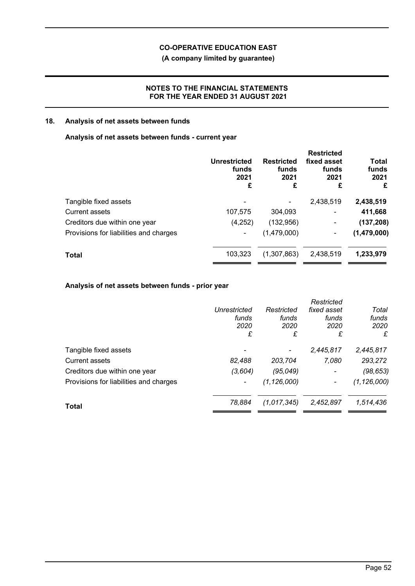**(A company limited by guarantee)**

### **NOTES TO THE FINANCIAL STATEMENTS FOR THE YEAR ENDED 31 AUGUST 2021**

### **18. Analysis of net assets between funds**

### **Analysis of net assets between funds - current year**

|                                        | Unrestricted<br>funds<br>2021<br>£ | <b>Restricted</b><br>funds<br>2021<br>£ | <b>Restricted</b><br>fixed asset<br>funds<br>2021<br>£ | Total<br>funds<br>2021<br>£ |
|----------------------------------------|------------------------------------|-----------------------------------------|--------------------------------------------------------|-----------------------------|
| Tangible fixed assets                  |                                    |                                         | 2,438,519                                              | 2,438,519                   |
| <b>Current assets</b>                  | 107,575                            | 304,093                                 | $\blacksquare$                                         | 411,668                     |
| Creditors due within one year          | (4,252)                            | (132, 956)                              | $\blacksquare$                                         | (137, 208)                  |
| Provisions for liabilities and charges |                                    | (1,479,000)                             | ۰                                                      | (1,479,000)                 |
| <b>Total</b>                           | 103,323                            | (1,307,863)                             | 2,438,519                                              | 1,233,979                   |

## **Analysis of net assets between funds - prior year**

|                                        |                     |               | Restricted               |               |
|----------------------------------------|---------------------|---------------|--------------------------|---------------|
|                                        | <b>Unrestricted</b> | Restricted    | fixed asset              | Total         |
|                                        | funds               | funds         | funds                    | funds         |
|                                        | 2020                | 2020          | 2020                     | 2020          |
|                                        | £                   | £             | £                        | £             |
| Tangible fixed assets                  |                     |               | 2,445,817                | 2,445,817     |
| <b>Current assets</b>                  | 82,488              | 203,704       | 7,080                    | 293,272       |
| Creditors due within one year          | (3,604)             | (95,049)      | $\overline{\phantom{a}}$ | (98, 653)     |
| Provisions for liabilities and charges |                     | (1, 126, 000) |                          | (1, 126, 000) |
| <b>Total</b>                           | 78,884              | (1,017,345)   | 2,452,897                | 1,514,436     |
|                                        |                     |               |                          |               |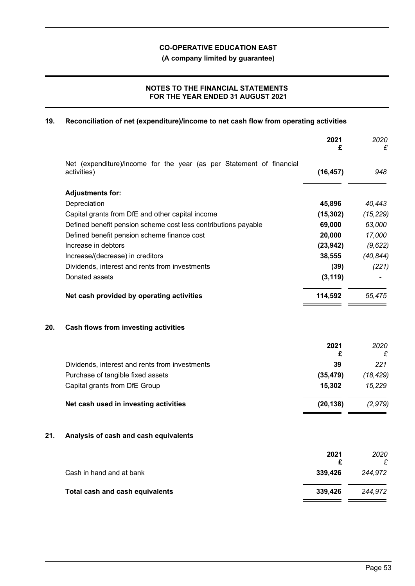**(A company limited by guarantee)**

## **NOTES TO THE FINANCIAL STATEMENTS FOR THE YEAR ENDED 31 AUGUST 2021**

## **19. Reconciliation of net (expenditure)/income to net cash flow from operating activities**

|     |                                                                                     | 2021<br>£    | 2020<br>£    |
|-----|-------------------------------------------------------------------------------------|--------------|--------------|
|     | Net (expenditure)/income for the year (as per Statement of financial<br>activities) | (16, 457)    | 948          |
|     | <b>Adjustments for:</b>                                                             |              |              |
|     | Depreciation                                                                        | 45,896       | 40,443       |
|     | Capital grants from DfE and other capital income                                    | (15, 302)    | (15, 229)    |
|     | Defined benefit pension scheme cost less contributions payable                      | 69,000       | 63,000       |
|     | Defined benefit pension scheme finance cost                                         | 20,000       | 17,000       |
|     | Increase in debtors                                                                 | (23, 942)    | (9,622)      |
|     | Increase/(decrease) in creditors                                                    | 38,555       | (40, 844)    |
|     | Dividends, interest and rents from investments                                      | (39)         | (221)        |
|     | Donated assets                                                                      | (3, 119)     |              |
|     | Net cash provided by operating activities                                           | 114,592      | 55,475       |
| 20. | Cash flows from investing activities                                                |              |              |
|     |                                                                                     | 2021<br>£    | 2020<br>£    |
|     | Dividends, interest and rents from investments                                      | 39           | 221          |
|     | Purchase of tangible fixed assets                                                   | (35, 479)    | (18, 429)    |
|     | Capital grants from DfE Group                                                       | 15,302       | 15,229       |
|     | Net cash used in investing activities                                               | (20, 138)    | (2, 979)     |
| 21. | Analysis of cash and cash equivalents                                               |              |              |
|     |                                                                                     | 2021         | 2020         |
|     | Cash in hand and at bank                                                            | £<br>339,426 | £<br>244,972 |
|     | Total cash and cash equivalents                                                     | 339,426      | 244,972      |
|     |                                                                                     |              |              |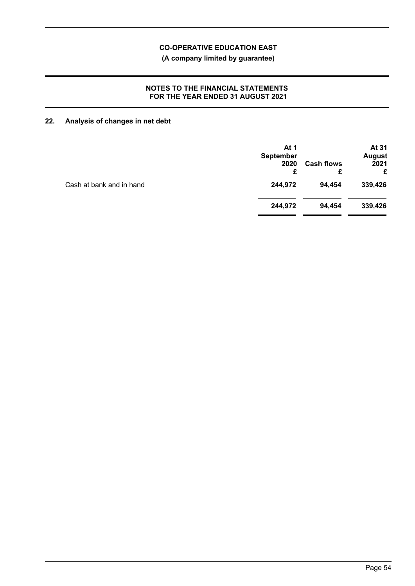**(A company limited by guarantee)**

### **NOTES TO THE FINANCIAL STATEMENTS FOR THE YEAR ENDED 31 AUGUST 2021**

# **22. Analysis of changes in net debt**

| At 1<br>September<br>2020<br>£ | <b>Cash flows</b><br>£ | At 31<br><b>August</b><br>2021<br>£ |
|--------------------------------|------------------------|-------------------------------------|
| 244,972                        | 94,454                 | 339,426                             |
| 244,972                        | 94,454                 | 339,426                             |
|                                |                        |                                     |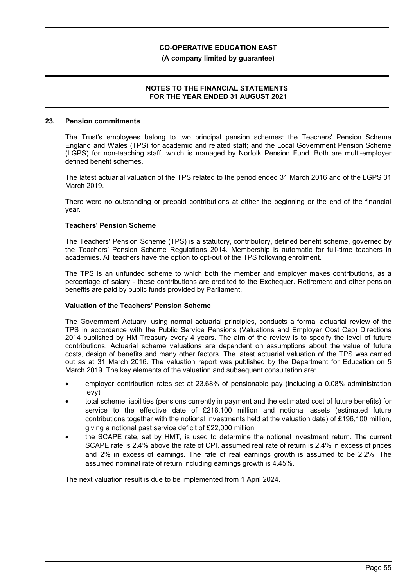### **(A company limited by guarantee)**

### **NOTES TO THE FINANCIAL STATEMENTS FOR THE YEAR ENDED 31 AUGUST 2021**

#### **23. Pension commitments**

The Trust's employees belong to two principal pension schemes: the Teachers' Pension Scheme England and Wales (TPS) for academic and related staff; and the Local Government Pension Scheme (LGPS) for non-teaching staff, which is managed by Norfolk Pension Fund. Both are multi-employer defined benefit schemes.

The latest actuarial valuation of the TPS related to the period ended 31 March 2016 and of the LGPS 31 March 2019.

There were no outstanding or prepaid contributions at either the beginning or the end of the financial year.

### **Teachers' Pension Scheme**

The Teachers' Pension Scheme (TPS) is a statutory, contributory, defined benefit scheme, governed by the Teachers' Pension Scheme Regulations 2014. Membership is automatic for full-time teachers in academies. All teachers have the option to opt-out of the TPS following enrolment.

The TPS is an unfunded scheme to which both the member and employer makes contributions, as a percentage of salary - these contributions are credited to the Exchequer. Retirement and other pension benefits are paid by public funds provided by Parliament.

### **Valuation of the Teachers' Pension Scheme**

The Government Actuary, using normal actuarial principles, conducts a formal actuarial review of the TPS in accordance with the Public Service Pensions (Valuations and Employer Cost Cap) Directions 2014 published by HM Treasury every 4 years. The aim of the review is to specify the level of future contributions. Actuarial scheme valuations are dependent on assumptions about the value of future costs, design of benefits and many other factors. The latest actuarial valuation of the TPS was carried out as at 31 March 2016. The valuation report was published by the Department for Education on 5 March 2019. The key elements of the valuation and subsequent consultation are:

- employer contribution rates set at 23.68% of pensionable pay (including a 0.08% administration levy)
- total scheme liabilities (pensions currently in payment and the estimated cost of future benefits) for service to the effective date of £218,100 million and notional assets (estimated future contributions together with the notional investments held at the valuation date) of £196,100 million, giving a notional past service deficit of £22,000 million
- the SCAPE rate, set by HMT, is used to determine the notional investment return. The current SCAPE rate is 2.4% above the rate of CPI, assumed real rate of return is 2.4% in excess of prices and 2% in excess of earnings. The rate of real earnings growth is assumed to be 2.2%. The assumed nominal rate of return including earnings growth is 4.45%.

The next valuation result is due to be implemented from 1 April 2024.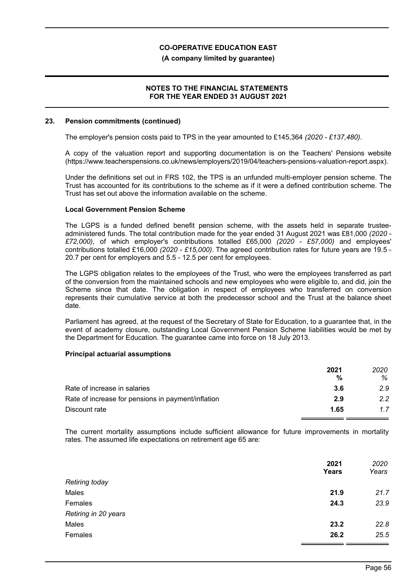### **(A company limited by guarantee)**

### **NOTES TO THE FINANCIAL STATEMENTS FOR THE YEAR ENDED 31 AUGUST 2021**

#### **23. Pension commitments (continued)**

The employer's pension costs paid to TPS in the year amounted to £145,364 *(2020 - £137,480)*.

A copy of the valuation report and supporting documentation is on the Teachers' Pensions website (https://www.teacherspensions.co.uk/news/employers/2019/04/teachers-pensions-valuation-report.aspx).

Under the definitions set out in FRS 102, the TPS is an unfunded multi-employer pension scheme. The Trust has accounted for its contributions to the scheme as if it were a defined contribution scheme. The Trust has set out above the information available on the scheme.

### **Local Government Pension Scheme**

The LGPS is a funded defined benefit pension scheme, with the assets held in separate trusteeadministered funds. The total contribution made for the year ended 31 August 2021 was £81,000 *(2020 - £72,000)*, of which employer's contributions totalled £65,000 *(2020 - £57,000)* and employees' contributions totalled £16,000 *(2020 - £15,000)*. The agreed contribution rates for future years are 19.5 - 20.7 per cent for employers and 5.5 - 12.5 per cent for employees.

The LGPS obligation relates to the employees of the Trust, who were the employees transferred as part of the conversion from the maintained schools and new employees who were eligible to, and did, join the Scheme since that date. The obligation in respect of employees who transferred on conversion represents their cumulative service at both the predecessor school and the Trust at the balance sheet date.

Parliament has agreed, at the request of the Secretary of State for Education, to a guarantee that, in the event of academy closure, outstanding Local Government Pension Scheme liabilities would be met by the Department for Education. The guarantee came into force on 18 July 2013.

### **Principal actuarial assumptions**

|                                                    | 2021 | 2020 |
|----------------------------------------------------|------|------|
|                                                    | %    | ℅    |
| Rate of increase in salaries                       | -3.6 | 2.9  |
| Rate of increase for pensions in payment/inflation | 2.9  | 2.2  |
| Discount rate                                      | 1.65 | 17   |

The current mortality assumptions include sufficient allowance for future improvements in mortality rates. The assumed life expectations on retirement age 65 are:

|                       | 2021<br>Years | 2020<br>Years |
|-----------------------|---------------|---------------|
| <b>Retiring today</b> |               |               |
| Males                 | 21.9          | 21.7          |
| Females               | 24.3          | 23.9          |
| Retiring in 20 years  |               |               |
| Males                 | 23.2          | 22.8          |
| Females               | 26.2          | 25.5          |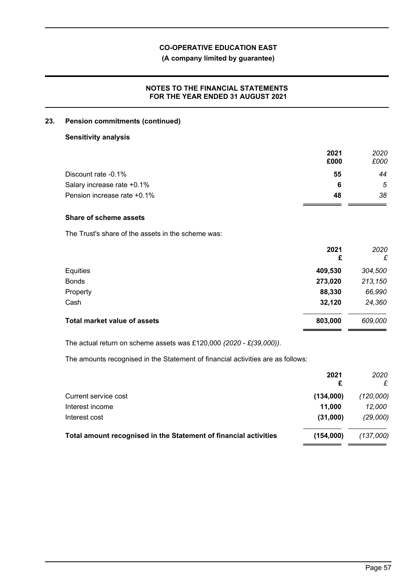## **(A company limited by guarantee)**

### **NOTES TO THE FINANCIAL STATEMENTS FOR THE YEAR ENDED 31 AUGUST 2021**

### **23. Pension commitments (continued)**

## **Sensitivity analysis**

|                             | 2021 | 2020 |
|-----------------------------|------|------|
|                             | £000 | £000 |
| Discount rate -0.1%         | 55   | 44   |
| Salary increase rate +0.1%  | 6    | 5    |
| Pension increase rate +0.1% | 48   | 38   |

## **Share of scheme assets**

The Trust's share of the assets in the scheme was:

|                                     | 2021<br>£ | 2020<br>£ |
|-------------------------------------|-----------|-----------|
| Equities                            | 409,530   | 304,500   |
| <b>Bonds</b>                        | 273,020   | 213,150   |
| Property                            | 88,330    | 66,990    |
| Cash                                | 32,120    | 24,360    |
| <b>Total market value of assets</b> | 803,000   | 609,000   |
|                                     |           |           |

The actual return on scheme assets was £120,000 *(2020 - £(39,000))*.

The amounts recognised in the Statement of financial activities are as follows:

|                                                                  | 2021<br>£ | 2020<br>£ |
|------------------------------------------------------------------|-----------|-----------|
| Current service cost                                             | (134,000) | (120,000) |
| Interest income                                                  | 11,000    | 12,000    |
| Interest cost                                                    | (31,000)  | (29,000)  |
| Total amount recognised in the Statement of financial activities | (154.000) | (137,000) |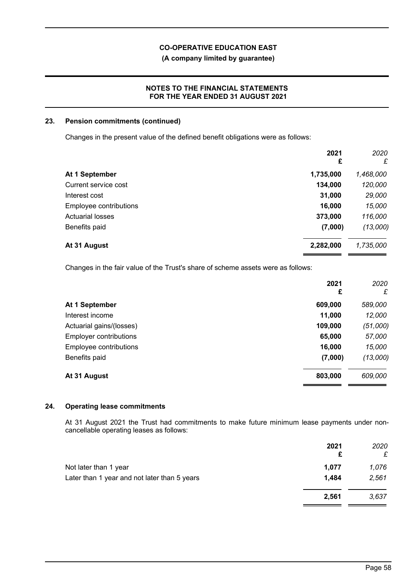**(A company limited by guarantee)**

### **NOTES TO THE FINANCIAL STATEMENTS FOR THE YEAR ENDED 31 AUGUST 2021**

### **23. Pension commitments (continued)**

Changes in the present value of the defined benefit obligations were as follows:

|                         | 2021<br>£ | 2020<br>£ |
|-------------------------|-----------|-----------|
| At 1 September          | 1,735,000 | 1,468,000 |
| Current service cost    | 134,000   | 120,000   |
| Interest cost           | 31,000    | 29,000    |
| Employee contributions  | 16,000    | 15,000    |
| <b>Actuarial losses</b> | 373,000   | 116,000   |
| Benefits paid           | (7,000)   | (13,000)  |
| At 31 August            | 2,282,000 | 1,735,000 |

Changes in the fair value of the Trust's share of scheme assets were as follows:

|                               | 2021<br>£ | 2020<br>£ |
|-------------------------------|-----------|-----------|
| At 1 September                | 609,000   | 589,000   |
| Interest income               | 11,000    | 12,000    |
| Actuarial gains/(losses)      | 109,000   | (51,000)  |
| <b>Employer contributions</b> | 65,000    | 57,000    |
| Employee contributions        | 16,000    | 15,000    |
| Benefits paid                 | (7,000)   | (13,000)  |
| At 31 August                  | 803,000   | 609,000   |

### **24. Operating lease commitments**

At 31 August 2021 the Trust had commitments to make future minimum lease payments under noncancellable operating leases as follows:

|                                              | 2021<br>£ | 2020<br>£ |
|----------------------------------------------|-----------|-----------|
| Not later than 1 year                        | 1.077     | 1,076     |
| Later than 1 year and not later than 5 years | 1,484     | 2,561     |
|                                              | 2,561     | 3,637     |